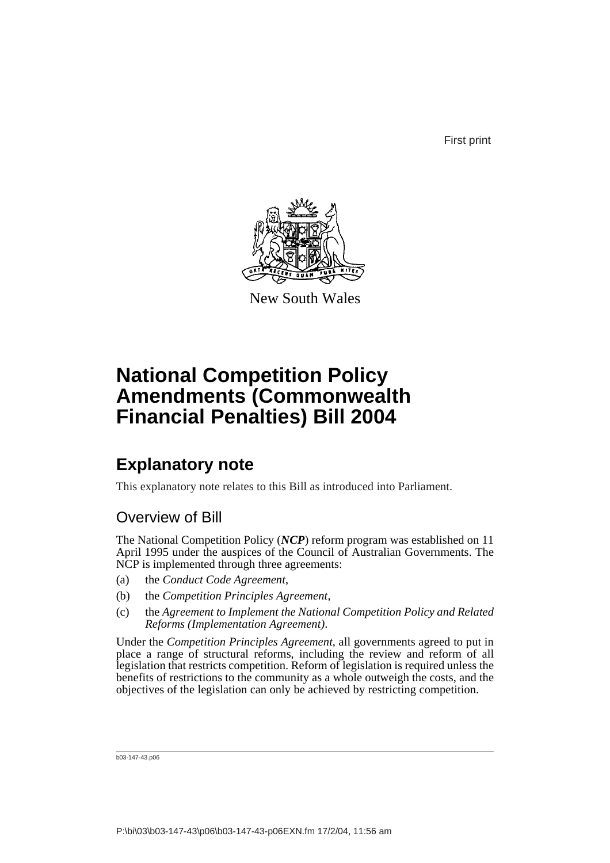First print



New South Wales

# **National Competition Policy Amendments (Commonwealth Financial Penalties) Bill 2004**

# **Explanatory note**

This explanatory note relates to this Bill as introduced into Parliament.

## Overview of Bill

The National Competition Policy (*NCP*) reform program was established on 11 April 1995 under the auspices of the Council of Australian Governments. The NCP is implemented through three agreements:

- (a) the *Conduct Code Agreement*,
- (b) the *Competition Principles Agreement*,
- (c) the *Agreement to Implement the National Competition Policy and Related Reforms (Implementation Agreement)*.

Under the *Competition Principles Agreement*, all governments agreed to put in place a range of structural reforms, including the review and reform of all legislation that restricts competition. Reform of legislation is required unless the benefits of restrictions to the community as a whole outweigh the costs, and the objectives of the legislation can only be achieved by restricting competition.

b03-147-43.p06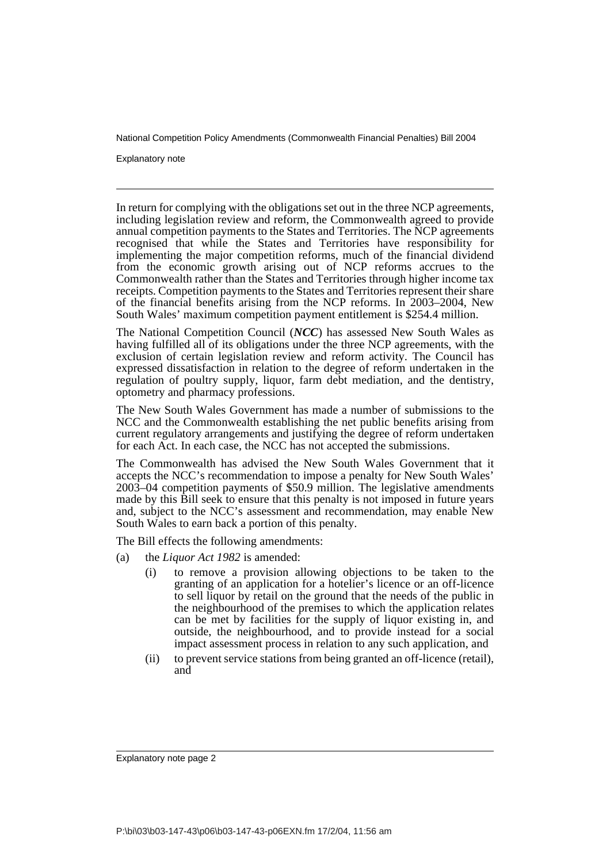Explanatory note

In return for complying with the obligations set out in the three NCP agreements, including legislation review and reform, the Commonwealth agreed to provide annual competition payments to the States and Territories. The NCP agreements recognised that while the States and Territories have responsibility for implementing the major competition reforms, much of the financial dividend from the economic growth arising out of NCP reforms accrues to the Commonwealth rather than the States and Territories through higher income tax receipts. Competition payments to the States and Territories represent their share of the financial benefits arising from the NCP reforms. In 2003–2004, New South Wales' maximum competition payment entitlement is \$254.4 million.

The National Competition Council (*NCC*) has assessed New South Wales as having fulfilled all of its obligations under the three NCP agreements, with the exclusion of certain legislation review and reform activity. The Council has expressed dissatisfaction in relation to the degree of reform undertaken in the regulation of poultry supply, liquor, farm debt mediation, and the dentistry, optometry and pharmacy professions.

The New South Wales Government has made a number of submissions to the NCC and the Commonwealth establishing the net public benefits arising from current regulatory arrangements and justifying the degree of reform undertaken for each Act. In each case, the NCC has not accepted the submissions.

The Commonwealth has advised the New South Wales Government that it accepts the NCC's recommendation to impose a penalty for New South Wales' 2003–04 competition payments of \$50.9 million. The legislative amendments made by this Bill seek to ensure that this penalty is not imposed in future years and, subject to the NCC's assessment and recommendation, may enable New South Wales to earn back a portion of this penalty.

The Bill effects the following amendments:

- (a) the *Liquor Act 1982* is amended:
	- (i) to remove a provision allowing objections to be taken to the granting of an application for a hotelier's licence or an off-licence to sell liquor by retail on the ground that the needs of the public in the neighbourhood of the premises to which the application relates can be met by facilities for the supply of liquor existing in, and outside, the neighbourhood, and to provide instead for a social impact assessment process in relation to any such application, and
	- (ii) to prevent service stations from being granted an off-licence (retail), and

Explanatory note page 2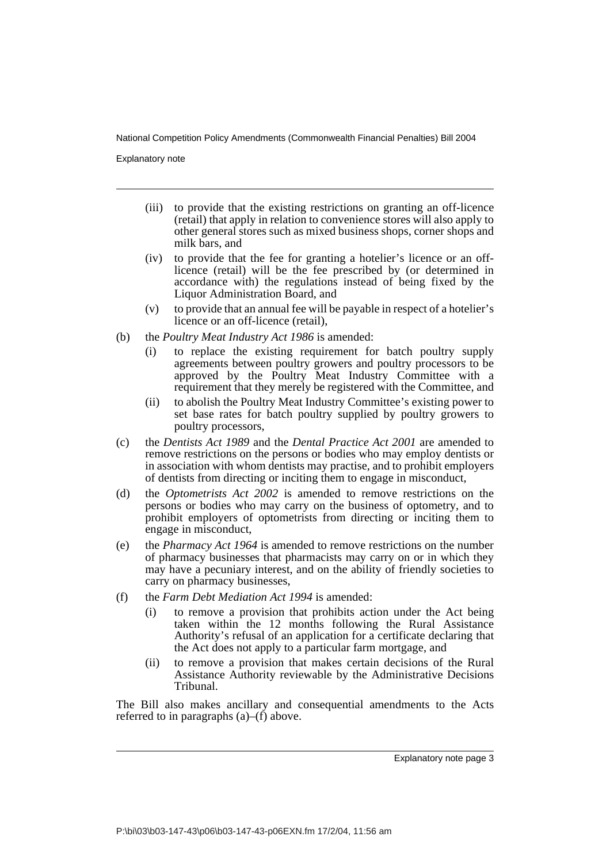Explanatory note

- (iii) to provide that the existing restrictions on granting an off-licence (retail) that apply in relation to convenience stores will also apply to other general stores such as mixed business shops, corner shops and milk bars, and
- (iv) to provide that the fee for granting a hotelier's licence or an offlicence (retail) will be the fee prescribed by (or determined in accordance with) the regulations instead of being fixed by the Liquor Administration Board, and
- (v) to provide that an annual fee will be payable in respect of a hotelier's licence or an off-licence (retail),
- (b) the *Poultry Meat Industry Act 1986* is amended:
	- (i) to replace the existing requirement for batch poultry supply agreements between poultry growers and poultry processors to be approved by the Poultry Meat Industry Committee with a requirement that they merely be registered with the Committee, and
	- (ii) to abolish the Poultry Meat Industry Committee's existing power to set base rates for batch poultry supplied by poultry growers to poultry processors,
- (c) the *Dentists Act 1989* and the *Dental Practice Act 2001* are amended to remove restrictions on the persons or bodies who may employ dentists or in association with whom dentists may practise, and to prohibit employers of dentists from directing or inciting them to engage in misconduct,
- (d) the *Optometrists Act 2002* is amended to remove restrictions on the persons or bodies who may carry on the business of optometry, and to prohibit employers of optometrists from directing or inciting them to engage in misconduct,
- (e) the *Pharmacy Act 1964* is amended to remove restrictions on the number of pharmacy businesses that pharmacists may carry on or in which they may have a pecuniary interest, and on the ability of friendly societies to carry on pharmacy businesses,
- (f) the *Farm Debt Mediation Act 1994* is amended:
	- (i) to remove a provision that prohibits action under the Act being taken within the 12 months following the Rural Assistance Authority's refusal of an application for a certificate declaring that the Act does not apply to a particular farm mortgage, and
	- (ii) to remove a provision that makes certain decisions of the Rural Assistance Authority reviewable by the Administrative Decisions Tribunal.

The Bill also makes ancillary and consequential amendments to the Acts referred to in paragraphs  $(a)$ – $(f)$  above.

Explanatory note page 3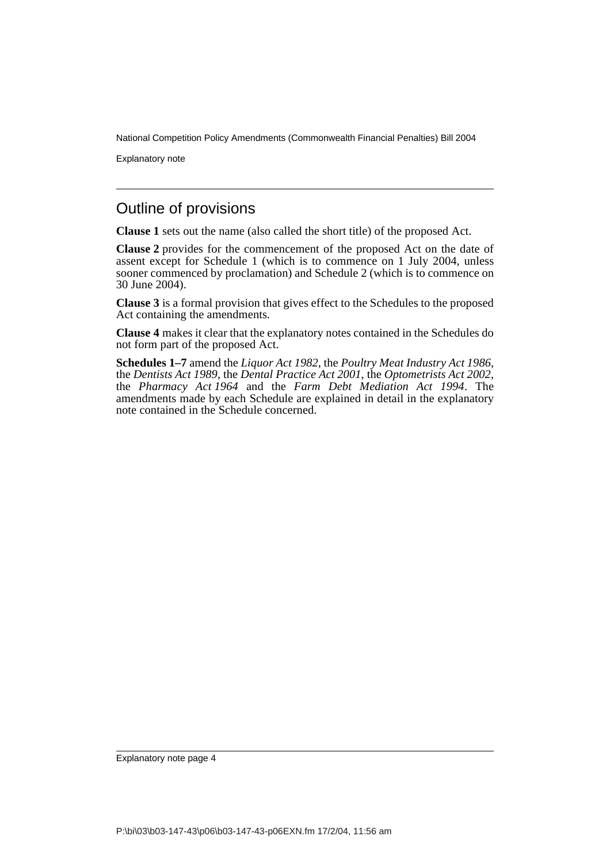Explanatory note

## Outline of provisions

**Clause 1** sets out the name (also called the short title) of the proposed Act.

**Clause 2** provides for the commencement of the proposed Act on the date of assent except for Schedule 1 (which is to commence on 1 July 2004, unless sooner commenced by proclamation) and Schedule 2 (which is to commence on 30 June 2004).

**Clause 3** is a formal provision that gives effect to the Schedules to the proposed Act containing the amendments.

**Clause 4** makes it clear that the explanatory notes contained in the Schedules do not form part of the proposed Act.

**Schedules 1–7** amend the *Liquor Act 1982*, the *Poultry Meat Industry Act 1986*, the *Dentists Act 1989*, the *Dental Practice Act 2001*, the *Optometrists Act 2002*, the *Pharmacy Act 1964* and the *Farm Debt Mediation Act 1994*. The amendments made by each Schedule are explained in detail in the explanatory note contained in the Schedule concerned.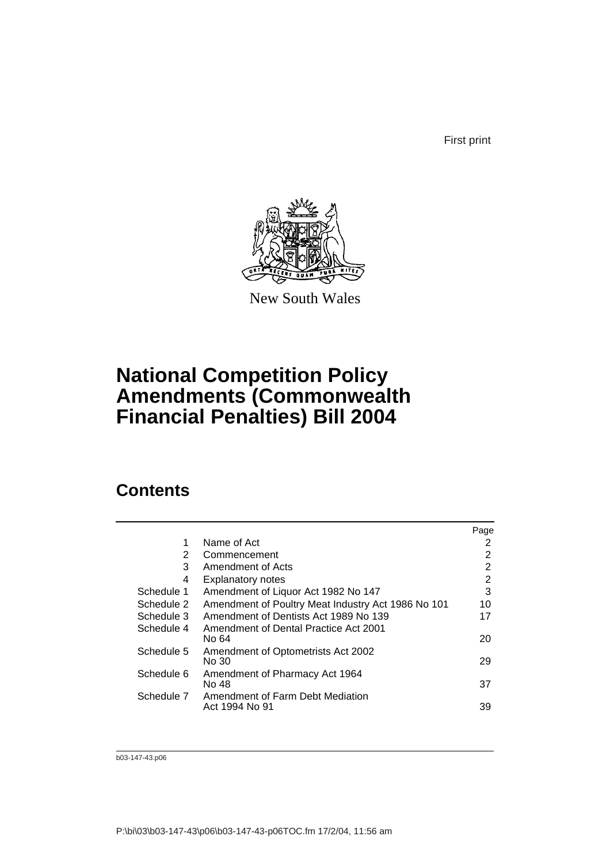First print



New South Wales

# **National Competition Policy Amendments (Commonwealth Financial Penalties) Bill 2004**

# **Contents**

|            |                                                    | Page |
|------------|----------------------------------------------------|------|
| 1          | Name of Act                                        | 2    |
| 2          | Commencement                                       | 2    |
| 3          | Amendment of Acts                                  | 2    |
| 4          | <b>Explanatory notes</b>                           | 2    |
| Schedule 1 | Amendment of Liquor Act 1982 No 147                | 3    |
| Schedule 2 | Amendment of Poultry Meat Industry Act 1986 No 101 | 10   |
| Schedule 3 | Amendment of Dentists Act 1989 No 139              | 17   |
| Schedule 4 | Amendment of Dental Practice Act 2001<br>No 64     | 20   |
| Schedule 5 | Amendment of Optometrists Act 2002<br>No 30        | 29   |
| Schedule 6 | Amendment of Pharmacy Act 1964<br>No 48            | 37   |
| Schedule 7 | Amendment of Farm Debt Mediation<br>Act 1994 No 91 | 39   |

b03-147-43.p06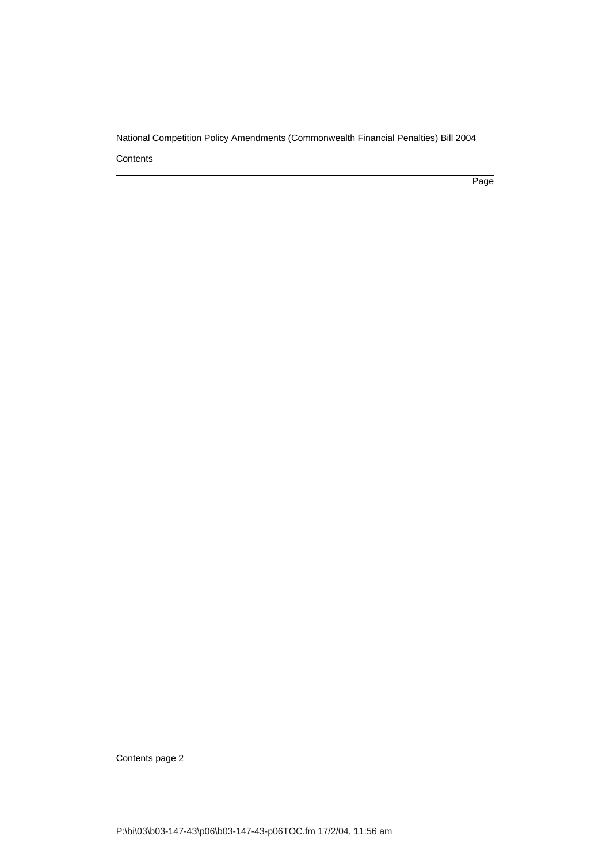**Contents** 

Page

Contents page 2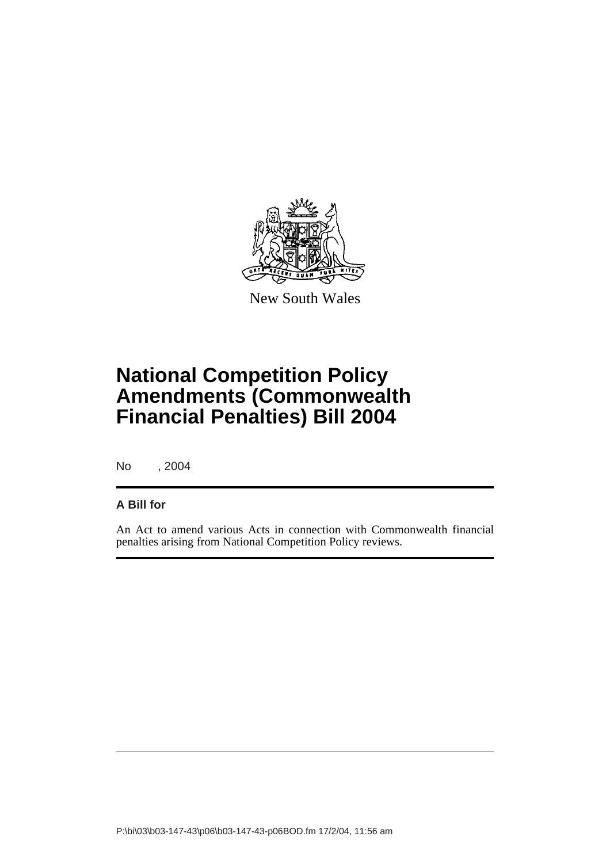

New South Wales

# **National Competition Policy Amendments (Commonwealth Financial Penalties) Bill 2004**

No , 2004

### **A Bill for**

An Act to amend various Acts in connection with Commonwealth financial penalties arising from National Competition Policy reviews.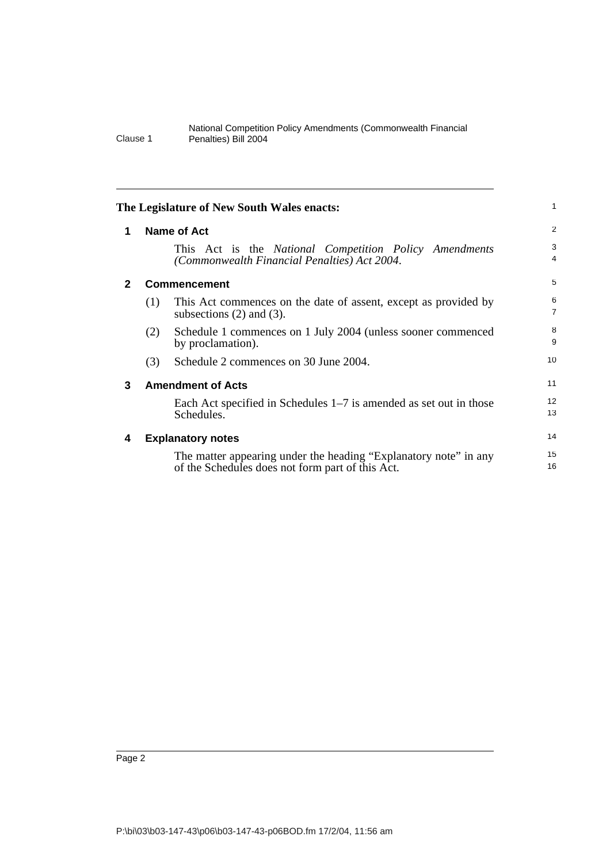| 1            |     | <b>Name of Act</b>                                                                                                   | $\overline{2}$ |
|--------------|-----|----------------------------------------------------------------------------------------------------------------------|----------------|
|              |     | This Act is the National Competition Policy Amendments<br>(Commonwealth Financial Penalties) Act 2004.               | 3<br>4         |
| $\mathbf{2}$ |     | <b>Commencement</b>                                                                                                  | 5              |
|              | (1) | This Act commences on the date of assent, except as provided by<br>subsections $(2)$ and $(3)$ .                     | 6<br>7         |
|              | (2) | Schedule 1 commences on 1 July 2004 (unless sooner commenced<br>by proclamation).                                    | 8<br>9         |
|              | (3) | Schedule 2 commences on 30 June 2004.                                                                                | 10             |
| 3            |     | <b>Amendment of Acts</b>                                                                                             | 11             |
|              |     | Each Act specified in Schedules $1-7$ is amended as set out in those<br>Schedules.                                   | 12<br>13       |
| 4            |     | <b>Explanatory notes</b>                                                                                             | 14             |
|              |     | The matter appearing under the heading "Explanatory note" in any<br>of the Schedules does not form part of this Act. | 15<br>16       |
|              |     |                                                                                                                      |                |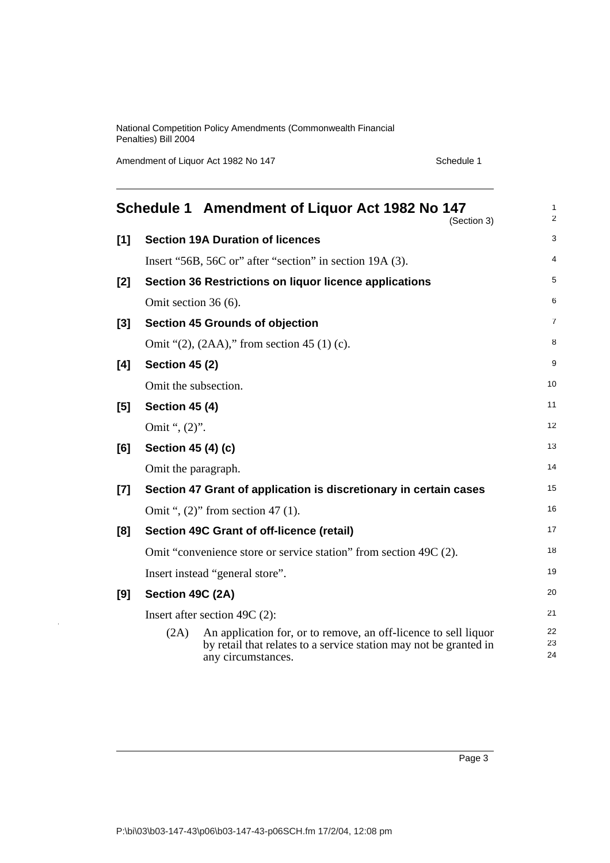Amendment of Liquor Act 1982 No 147 Schedule 1

|       |                       | Schedule 1 Amendment of Liquor Act 1982 No 147<br>(Section 3)                                                                                              | $\mathbf{1}$<br>2 |
|-------|-----------------------|------------------------------------------------------------------------------------------------------------------------------------------------------------|-------------------|
| [1]   |                       | <b>Section 19A Duration of licences</b>                                                                                                                    | 3                 |
|       |                       | Insert "56B, 56C or" after "section" in section 19A (3).                                                                                                   | 4                 |
| [2]   |                       | Section 36 Restrictions on liquor licence applications                                                                                                     | 5                 |
|       | Omit section 36 (6).  |                                                                                                                                                            | 6                 |
| $[3]$ |                       | <b>Section 45 Grounds of objection</b>                                                                                                                     | $\overline{7}$    |
|       |                       | Omit " $(2)$ , $(2AA)$ ," from section 45 $(1)$ (c).                                                                                                       | 8                 |
| [4]   | <b>Section 45 (2)</b> |                                                                                                                                                            | 9                 |
|       | Omit the subsection.  |                                                                                                                                                            | 10                |
| [5]   | <b>Section 45 (4)</b> |                                                                                                                                                            | 11                |
|       | Omit ", (2)".         |                                                                                                                                                            | 12                |
| [6]   | Section 45 (4) (c)    |                                                                                                                                                            | 13                |
|       | Omit the paragraph.   |                                                                                                                                                            | 14                |
| $[7]$ |                       | Section 47 Grant of application is discretionary in certain cases                                                                                          | 15                |
|       |                       | Omit ", $(2)$ " from section 47 $(1)$ .                                                                                                                    | 16                |
| [8]   |                       | Section 49C Grant of off-licence (retail)                                                                                                                  | 17                |
|       |                       | Omit "convenience store or service station" from section 49C (2).                                                                                          | 18                |
|       |                       | Insert instead "general store".                                                                                                                            | 19                |
| [9]   | Section 49C (2A)      |                                                                                                                                                            | 20                |
|       |                       | Insert after section 49C $(2)$ :                                                                                                                           | 21                |
|       | (2A)                  | An application for, or to remove, an off-licence to sell liquor<br>by retail that relates to a service station may not be granted in<br>any circumstances. | 22<br>23<br>24    |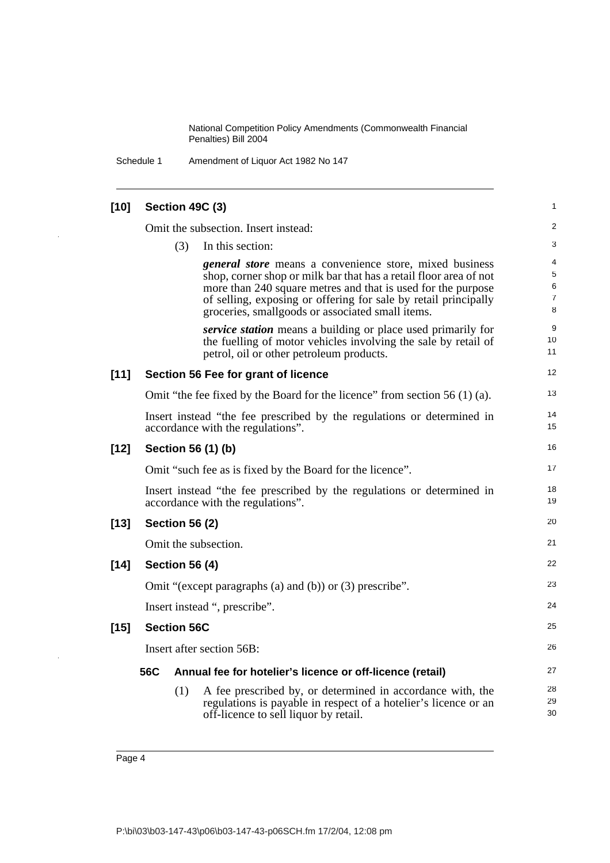Schedule 1 Amendment of Liquor Act 1982 No 147

| $[10]$ | Section 49C (3)       |                                                                                                                                                                                                                                                                                                                            | 1                     |
|--------|-----------------------|----------------------------------------------------------------------------------------------------------------------------------------------------------------------------------------------------------------------------------------------------------------------------------------------------------------------------|-----------------------|
|        |                       | Omit the subsection. Insert instead:                                                                                                                                                                                                                                                                                       | 2                     |
|        | (3)                   | In this section:                                                                                                                                                                                                                                                                                                           | 3                     |
|        |                       | <i>general store</i> means a convenience store, mixed business<br>shop, corner shop or milk bar that has a retail floor area of not<br>more than 240 square metres and that is used for the purpose<br>of selling, exposing or offering for sale by retail principally<br>groceries, smallgoods or associated small items. | 4<br>5<br>6<br>7<br>8 |
|        |                       | <i>service station</i> means a building or place used primarily for<br>the fuelling of motor vehicles involving the sale by retail of<br>petrol, oil or other petroleum products.                                                                                                                                          | 9<br>10<br>11         |
| $[11]$ |                       | Section 56 Fee for grant of licence                                                                                                                                                                                                                                                                                        | 12                    |
|        |                       | Omit "the fee fixed by the Board for the licence" from section $56(1)(a)$ .                                                                                                                                                                                                                                                | 13                    |
|        |                       | Insert instead "the fee prescribed by the regulations or determined in<br>accordance with the regulations".                                                                                                                                                                                                                | 14<br>15              |
| $[12]$ | Section 56 (1) (b)    |                                                                                                                                                                                                                                                                                                                            | 16                    |
|        |                       | Omit "such fee as is fixed by the Board for the licence".                                                                                                                                                                                                                                                                  | 17                    |
|        |                       | Insert instead "the fee prescribed by the regulations or determined in<br>accordance with the regulations".                                                                                                                                                                                                                | 18<br>19              |
| $[13]$ | <b>Section 56 (2)</b> |                                                                                                                                                                                                                                                                                                                            | 20                    |
|        | Omit the subsection.  |                                                                                                                                                                                                                                                                                                                            | 21                    |
| $[14]$ | <b>Section 56 (4)</b> |                                                                                                                                                                                                                                                                                                                            | 22                    |
|        |                       | Omit "(except paragraphs (a) and (b)) or $(3)$ prescribe".                                                                                                                                                                                                                                                                 | 23                    |
|        |                       | Insert instead ", prescribe".                                                                                                                                                                                                                                                                                              | 24                    |
| $[15]$ | <b>Section 56C</b>    |                                                                                                                                                                                                                                                                                                                            | 25                    |
|        |                       | Insert after section 56B:                                                                                                                                                                                                                                                                                                  | 26                    |
|        | 56C                   | Annual fee for hotelier's licence or off-licence (retail)                                                                                                                                                                                                                                                                  | 27                    |
|        | (1)                   | A fee prescribed by, or determined in accordance with, the<br>regulations is payable in respect of a hotelier's licence or an<br>off-licence to sell liquor by retail.                                                                                                                                                     | 28<br>29<br>30        |

l,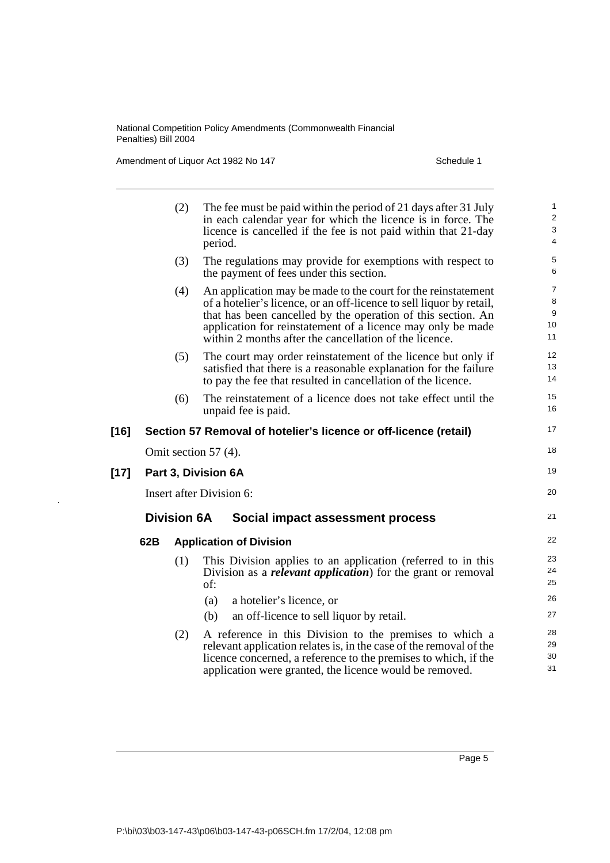Amendment of Liquor Act 1982 No 147 Schedule 1

|        |                          | (2)                | The fee must be paid within the period of 21 days after 31 July<br>in each calendar year for which the licence is in force. The<br>licence is cancelled if the fee is not paid within that 21-day<br>period.                                                                                                                   | 1<br>$\sqrt{2}$<br>$\mathsf 3$<br>4       |
|--------|--------------------------|--------------------|--------------------------------------------------------------------------------------------------------------------------------------------------------------------------------------------------------------------------------------------------------------------------------------------------------------------------------|-------------------------------------------|
|        |                          | (3)                | The regulations may provide for exemptions with respect to<br>the payment of fees under this section.                                                                                                                                                                                                                          | 5<br>6                                    |
|        |                          | (4)                | An application may be made to the court for the reinstatement<br>of a hotelier's licence, or an off-licence to sell liquor by retail,<br>that has been cancelled by the operation of this section. An<br>application for reinstatement of a licence may only be made<br>within 2 months after the cancellation of the licence. | $\overline{7}$<br>$\bf8$<br>9<br>10<br>11 |
|        |                          | (5)                | The court may order reinstatement of the licence but only if<br>satisfied that there is a reasonable explanation for the failure<br>to pay the fee that resulted in cancellation of the licence.                                                                                                                               | 12<br>13<br>14                            |
|        |                          | (6)                | The reinstatement of a licence does not take effect until the<br>unpaid fee is paid.                                                                                                                                                                                                                                           | 15<br>16                                  |
| $[16]$ |                          |                    | Section 57 Removal of hotelier's licence or off-licence (retail)                                                                                                                                                                                                                                                               | 17                                        |
|        |                          |                    | Omit section 57 (4).                                                                                                                                                                                                                                                                                                           | 18                                        |
| $[17]$ |                          |                    | Part 3, Division 6A                                                                                                                                                                                                                                                                                                            | 19                                        |
|        | Insert after Division 6: |                    |                                                                                                                                                                                                                                                                                                                                |                                           |
|        |                          | <b>Division 6A</b> | Social impact assessment process                                                                                                                                                                                                                                                                                               | 21                                        |
|        | 62B                      |                    | <b>Application of Division</b>                                                                                                                                                                                                                                                                                                 | 22                                        |
|        |                          | (1)                | This Division applies to an application (referred to in this<br>Division as a <b><i>relevant application</i></b> ) for the grant or removal<br>of:                                                                                                                                                                             | 23<br>24<br>25                            |
|        |                          |                    | a hotelier's licence, or<br>(a)                                                                                                                                                                                                                                                                                                | 26                                        |
|        |                          |                    | an off-licence to sell liquor by retail.<br>(b)                                                                                                                                                                                                                                                                                | 27                                        |
|        |                          | (2)                | A reference in this Division to the premises to which a<br>relevant application relates is, in the case of the removal of the<br>licence concerned, a reference to the premises to which, if the<br>application were granted, the licence would be removed.                                                                    | 28<br>29<br>30<br>31                      |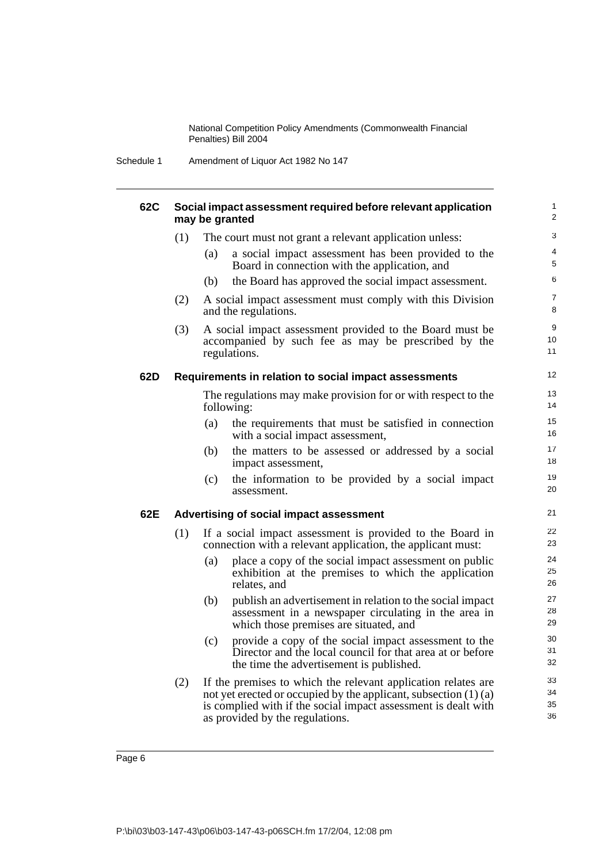Schedule 1 Amendment of Liquor Act 1982 No 147

| <b>62C</b> | Social impact assessment required before relevant application<br>may be granted |                                                                                                                                                                                                                                          |                      |  |
|------------|---------------------------------------------------------------------------------|------------------------------------------------------------------------------------------------------------------------------------------------------------------------------------------------------------------------------------------|----------------------|--|
|            | (1)                                                                             | The court must not grant a relevant application unless:                                                                                                                                                                                  | 3                    |  |
|            |                                                                                 | a social impact assessment has been provided to the<br>(a)<br>Board in connection with the application, and                                                                                                                              | 4<br>5               |  |
|            |                                                                                 | (b)<br>the Board has approved the social impact assessment.                                                                                                                                                                              | 6                    |  |
|            | (2)                                                                             | A social impact assessment must comply with this Division<br>and the regulations.                                                                                                                                                        | $\overline{7}$<br>8  |  |
|            | (3)                                                                             | A social impact assessment provided to the Board must be<br>accompanied by such fee as may be prescribed by the<br>regulations.                                                                                                          | 9<br>10<br>11        |  |
| 62D        |                                                                                 | Requirements in relation to social impact assessments                                                                                                                                                                                    | $12 \overline{ }$    |  |
|            |                                                                                 | The regulations may make provision for or with respect to the<br>following:                                                                                                                                                              | 13<br>14             |  |
|            |                                                                                 | (a)<br>the requirements that must be satisfied in connection<br>with a social impact assessment,                                                                                                                                         | 15<br>16             |  |
|            |                                                                                 | the matters to be assessed or addressed by a social<br>(b)<br>impact assessment,                                                                                                                                                         | 17<br>18             |  |
|            |                                                                                 | (c)<br>the information to be provided by a social impact<br>assessment.                                                                                                                                                                  | 19<br>20             |  |
| 62E        |                                                                                 | Advertising of social impact assessment                                                                                                                                                                                                  | 21                   |  |
|            | (1)                                                                             | If a social impact assessment is provided to the Board in<br>connection with a relevant application, the applicant must:                                                                                                                 | 22<br>23             |  |
|            |                                                                                 | (a)<br>place a copy of the social impact assessment on public<br>exhibition at the premises to which the application<br>relates, and                                                                                                     | 24<br>25<br>26       |  |
|            |                                                                                 | (b)<br>publish an advertisement in relation to the social impact<br>assessment in a newspaper circulating in the area in<br>which those premises are situated, and                                                                       | 27<br>28<br>29       |  |
|            |                                                                                 | provide a copy of the social impact assessment to the<br>(c)<br>Director and the local council for that area at or before<br>the time the advertisement is published.                                                                    | 30<br>31<br>32       |  |
|            | (2)                                                                             | If the premises to which the relevant application relates are<br>not yet erected or occupied by the applicant, subsection $(1)$ (a)<br>is complied with if the social impact assessment is dealt with<br>as provided by the regulations. | 33<br>34<br>35<br>36 |  |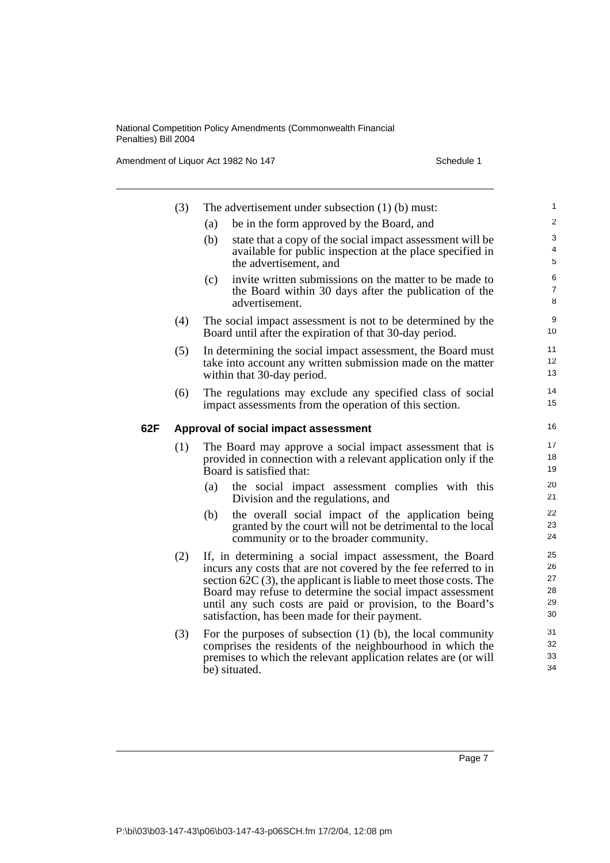Amendment of Liquor Act 1982 No 147 Schedule 1

|     | (3) | The advertisement under subsection $(1)$ (b) must:                                                                                                                                                                                                                                                                                                                               | 1                                |
|-----|-----|----------------------------------------------------------------------------------------------------------------------------------------------------------------------------------------------------------------------------------------------------------------------------------------------------------------------------------------------------------------------------------|----------------------------------|
|     |     | be in the form approved by the Board, and<br>(a)                                                                                                                                                                                                                                                                                                                                 | $\overline{\mathbf{c}}$          |
|     |     | (b)<br>state that a copy of the social impact assessment will be<br>available for public inspection at the place specified in<br>the advertisement, and                                                                                                                                                                                                                          | 3<br>4<br>5                      |
|     |     | invite written submissions on the matter to be made to<br>(c)<br>the Board within 30 days after the publication of the<br>advertisement.                                                                                                                                                                                                                                         | 6<br>$\overline{7}$<br>8         |
|     | (4) | The social impact assessment is not to be determined by the<br>Board until after the expiration of that 30-day period.                                                                                                                                                                                                                                                           | 9<br>10                          |
|     | (5) | In determining the social impact assessment, the Board must<br>take into account any written submission made on the matter<br>within that 30-day period.                                                                                                                                                                                                                         | 11<br>12<br>13                   |
|     | (6) | The regulations may exclude any specified class of social<br>impact assessments from the operation of this section.                                                                                                                                                                                                                                                              | 14<br>15                         |
| 62F |     | Approval of social impact assessment                                                                                                                                                                                                                                                                                                                                             | 16                               |
|     | (1) | The Board may approve a social impact assessment that is<br>provided in connection with a relevant application only if the<br>Board is satisfied that:                                                                                                                                                                                                                           | 17<br>18<br>19                   |
|     |     | (a)<br>the social impact assessment complies with this<br>Division and the regulations, and                                                                                                                                                                                                                                                                                      | 20<br>21                         |
|     |     | the overall social impact of the application being<br>(b)<br>granted by the court will not be detrimental to the local<br>community or to the broader community.                                                                                                                                                                                                                 | 22<br>23<br>24                   |
|     | (2) | If, in determining a social impact assessment, the Board<br>incurs any costs that are not covered by the fee referred to in<br>section $62C(3)$ , the applicant is liable to meet those costs. The<br>Board may refuse to determine the social impact assessment<br>until any such costs are paid or provision, to the Board's<br>satisfaction, has been made for their payment. | 25<br>26<br>27<br>28<br>29<br>30 |
|     | (3) | For the purposes of subsection $(1)$ (b), the local community<br>comprises the residents of the neighbourhood in which the<br>premises to which the relevant application relates are (or will<br>be) situated.                                                                                                                                                                   | 31<br>32<br>33<br>34             |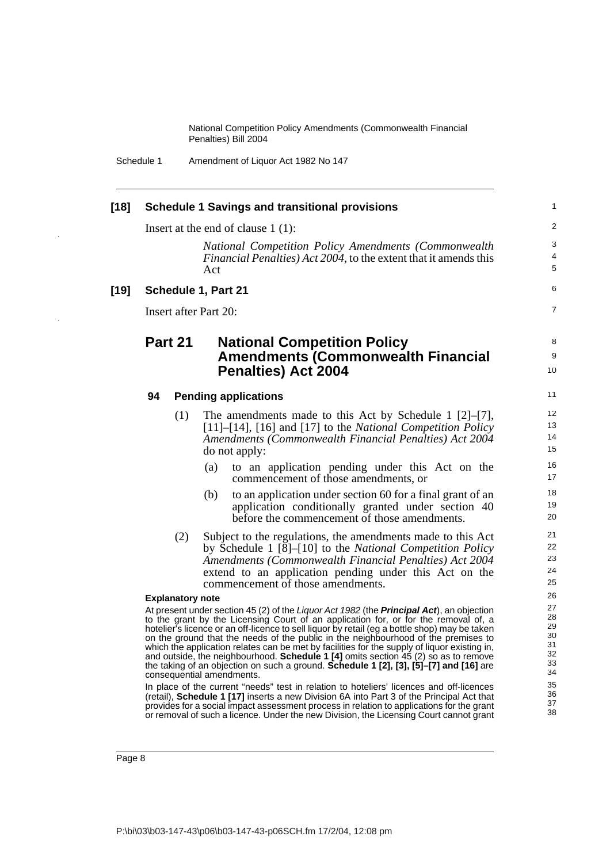Schedule 1 Amendment of Liquor Act 1982 No 147

#### **[18] Schedule 1 Savings and transitional provisions**

Insert at the end of clause 1 (1):

*National Competition Policy Amendments (Commonwealth Financial Penalties) Act 2004*, to the extent that it amends this Act

7

8 9 10

#### **[19] Schedule 1, Part 21**

Insert after Part 20:

### **Part 21 National Competition Policy Amendments (Commonwealth Financial Penalties) Act 2004**

#### **94 Pending applications**

- (1) The amendments made to this Act by Schedule 1 [2]–[7], [11]–[14], [16] and [17] to the *National Competition Policy Amendments (Commonwealth Financial Penalties) Act 2004* do not apply:
	- (a) to an application pending under this Act on the commencement of those amendments, or
	- (b) to an application under section 60 for a final grant of an application conditionally granted under section 40 before the commencement of those amendments.
- (2) Subject to the regulations, the amendments made to this Act by Schedule 1 [8]–[10] to the *National Competition Policy Amendments (Commonwealth Financial Penalties) Act 2004* extend to an application pending under this Act on the commencement of those amendments.

#### **Explanatory note**

At present under section 45 (2) of the Liquor Act 1982 (the **Principal Act**), an objection to the grant by the Licensing Court of an application for, or for the removal of, a hotelier's licence or an off-licence to sell liquor by retail (eg a bottle shop) may be taken on the ground that the needs of the public in the neighbourhood of the premises to which the application relates can be met by facilities for the supply of liquor existing in, and outside, the neighbourhood. **Schedule 1 [4]** omits section 45 (2) so as to remove the taking of an objection on such a ground. **Schedule 1 [2], [3], [5]–[7] and [16]** are consequential amendments.

In place of the current "needs" test in relation to hoteliers' licences and off-licences (retail), **Schedule 1 [17]** inserts a new Division 6A into Part 3 of the Principal Act that provides for a social impact assessment process in relation to applications for the grant or removal of such a licence. Under the new Division, the Licensing Court cannot grant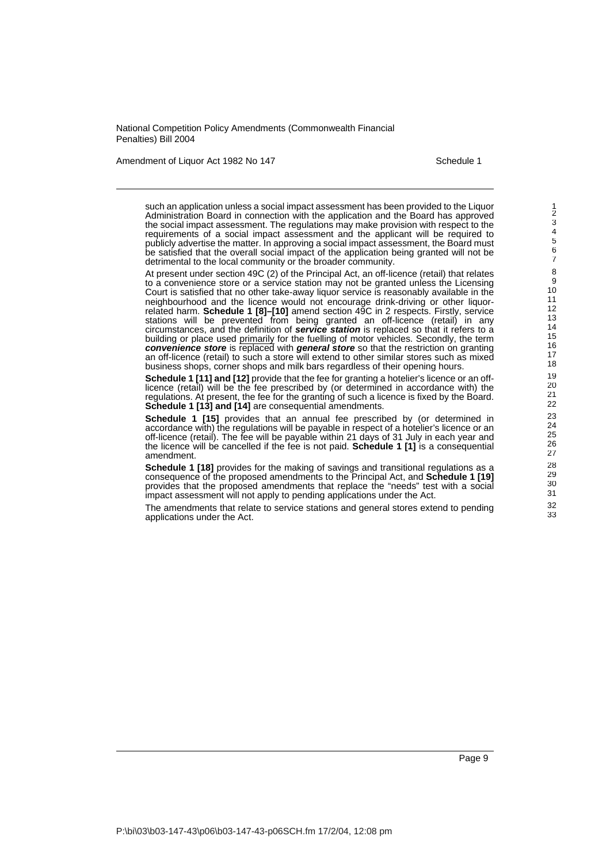Amendment of Liquor Act 1982 No 147 Schedule 1

such an application unless a social impact assessment has been provided to the Liquor Administration Board in connection with the application and the Board has approved the social impact assessment. The regulations may make provision with respect to the requirements of a social impact assessment and the applicant will be required to publicly advertise the matter. In approving a social impact assessment, the Board must be satisfied that the overall social impact of the application being granted will not be detrimental to the local community or the broader community.

At present under section 49C (2) of the Principal Act, an off-licence (retail) that relates to a convenience store or a service station may not be granted unless the Licensing Court is satisfied that no other take-away liquor service is reasonably available in the neighbourhood and the licence would not encourage drink-driving or other liquorrelated harm. **Schedule 1 [8]–[10]** amend section 49C in 2 respects. Firstly, service stations will be prevented from being granted an off-licence (retail) in any circumstances, and the definition of **service station** is replaced so that it refers to a building or place used primarily for the fuelling of motor vehicles. Secondly, the term **convenience store** is replaced with **general store** so that the restriction on granting an off-licence (retail) to such a store will extend to other similar stores such as mixed business shops, corner shops and milk bars regardless of their opening hours.

**Schedule 1 [11] and [12]** provide that the fee for granting a hotelier's licence or an offlicence (retail) will be the fee prescribed by (or determined in accordance with) the regulations. At present, the fee for the granting of such a licence is fixed by the Board. Schedule 1 [13] and [14] are consequential amendments.

**Schedule 1 [15]** provides that an annual fee prescribed by (or determined in accordance with) the regulations will be payable in respect of a hotelier's licence or an off-licence (retail). The fee will be payable within 21 days of 31 July in each year and the licence will be cancelled if the fee is not paid. **Schedule 1 [1]** is a consequential amendment.

**Schedule 1 [18]** provides for the making of savings and transitional regulations as a consequence of the proposed amendments to the Principal Act, and **Schedule 1 [19]** provides that the proposed amendments that replace the "needs" test with a social impact assessment will not apply to pending applications under the Act.

The amendments that relate to service stations and general stores extend to pending applications under the Act.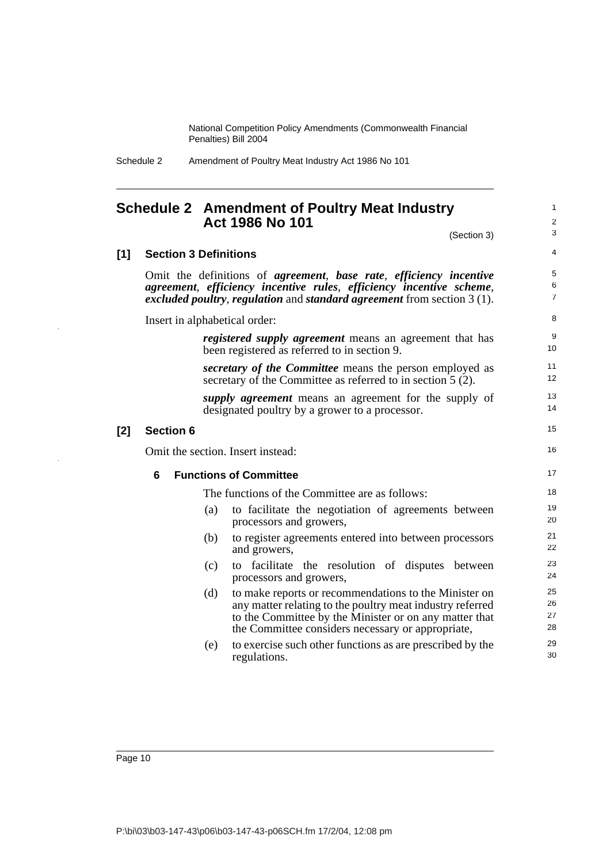Schedule 2 Amendment of Poultry Meat Industry Act 1986 No 101

**[1] Section 3 Definitions**

### **Schedule 2 Amendment of Poultry Meat Industry Act 1986 No 101**

(Section 3)

4

5 6 7

16

1  $\mathfrak{p}$ 3

## Omit the definitions of *agreement*, *base rate*, *efficiency incentive agreement*, *efficiency incentive rules*, *efficiency incentive scheme*, *excluded poultry*, *regulation* and *standard agreement* from section 3 (1). Insert in alphabetical order: *registered supply agreement* means an agreement that has been registered as referred to in section 9. *secretary of the Committee* means the person employed as secretary of the Committee as referred to in section 5 (2). *supply agreement* means an agreement for the supply of designated poultry by a grower to a processor. **[2] Section 6** Omit the section. Insert instead: **6 Functions of Committee**

The functions of the Committee are as follows:

- (a) to facilitate the negotiation of agreements between processors and growers,
- (b) to register agreements entered into between processors and growers,
- (c) to facilitate the resolution of disputes between processors and growers,
- (d) to make reports or recommendations to the Minister on any matter relating to the poultry meat industry referred to the Committee by the Minister or on any matter that the Committee considers necessary or appropriate,
- (e) to exercise such other functions as are prescribed by the regulations.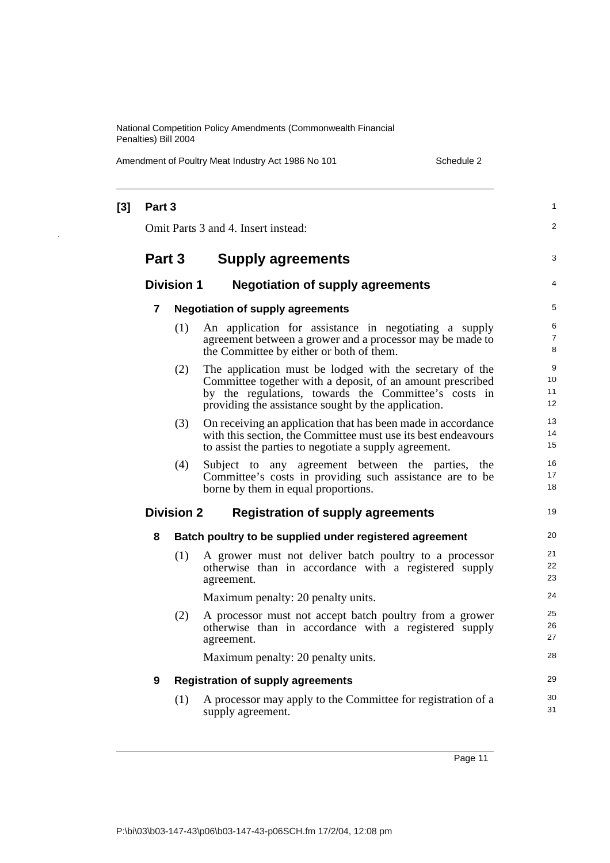Amendment of Poultry Meat Industry Act 1986 No 101 Schedule 2

| $[3]$ | Part 3 |                   |                                                                                                                                                                                                                                       | 1                   |
|-------|--------|-------------------|---------------------------------------------------------------------------------------------------------------------------------------------------------------------------------------------------------------------------------------|---------------------|
|       |        |                   | Omit Parts 3 and 4. Insert instead:                                                                                                                                                                                                   | 2                   |
|       | Part 3 |                   | <b>Supply agreements</b>                                                                                                                                                                                                              | 3                   |
|       |        | <b>Division 1</b> | <b>Negotiation of supply agreements</b>                                                                                                                                                                                               | $\overline{4}$      |
|       | 7      |                   | <b>Negotiation of supply agreements</b>                                                                                                                                                                                               | 5                   |
|       |        | (1)               | An application for assistance in negotiating a supply<br>agreement between a grower and a processor may be made to<br>the Committee by either or both of them.                                                                        | 6<br>7<br>8         |
|       |        | (2)               | The application must be lodged with the secretary of the<br>Committee together with a deposit, of an amount prescribed<br>by the regulations, towards the Committee's costs in<br>providing the assistance sought by the application. | 9<br>10<br>11<br>12 |
|       |        | (3)               | On receiving an application that has been made in accordance<br>with this section, the Committee must use its best endeavours<br>to assist the parties to negotiate a supply agreement.                                               | 13<br>14<br>15      |
|       |        | (4)               | Subject to any agreement between the parties, the<br>Committee's costs in providing such assistance are to be<br>borne by them in equal proportions.                                                                                  | 16<br>17<br>18      |
|       |        | <b>Division 2</b> | <b>Registration of supply agreements</b>                                                                                                                                                                                              | 19                  |
|       | 8      |                   | Batch poultry to be supplied under registered agreement                                                                                                                                                                               | 20                  |
|       |        | (1)               | A grower must not deliver batch poultry to a processor<br>otherwise than in accordance with a registered supply<br>agreement.                                                                                                         | 21<br>22<br>23      |
|       |        |                   | Maximum penalty: 20 penalty units.                                                                                                                                                                                                    | 24                  |
|       |        | (2)               | A processor must not accept batch poultry from a grower<br>otherwise than in accordance with a registered supply<br>agreement.                                                                                                        | 25<br>26<br>27      |
|       |        |                   | Maximum penalty: 20 penalty units.                                                                                                                                                                                                    | 28                  |
|       | 9      |                   | <b>Registration of supply agreements</b>                                                                                                                                                                                              | 29                  |
|       |        | (1)               | A processor may apply to the Committee for registration of a<br>supply agreement.                                                                                                                                                     | 30<br>31            |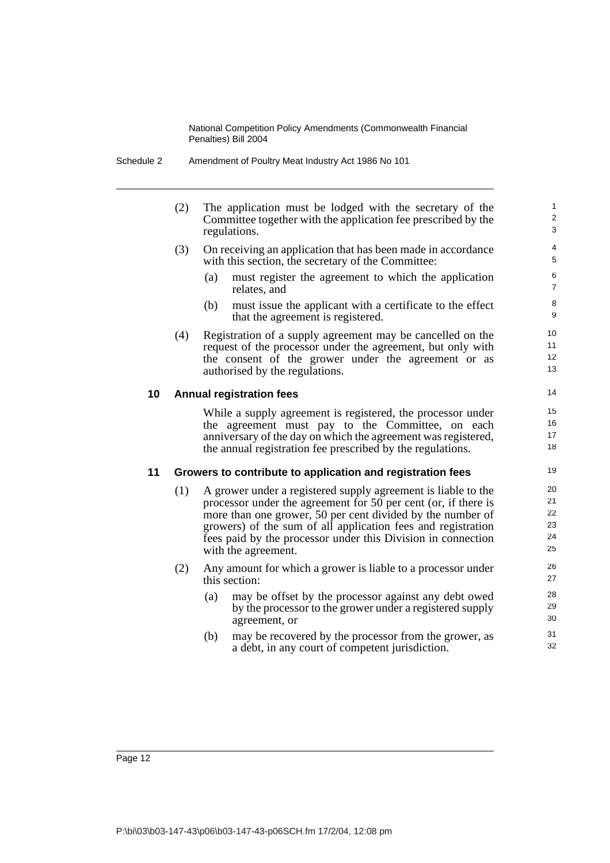| Amendment of Poultry Meat Industry Act 1986 No 101<br>Schedule 2 |  |
|------------------------------------------------------------------|--|
|------------------------------------------------------------------|--|

- (2) The application must be lodged with the secretary of the Committee together with the application fee prescribed by the regulations.
- (3) On receiving an application that has been made in accordance with this section, the secretary of the Committee:
	- (a) must register the agreement to which the application relates, and

- (b) must issue the applicant with a certificate to the effect that the agreement is registered.
- (4) Registration of a supply agreement may be cancelled on the request of the processor under the agreement, but only with the consent of the grower under the agreement or as authorised by the regulations.

### **10 Annual registration fees**

While a supply agreement is registered, the processor under the agreement must pay to the Committee, on each anniversary of the day on which the agreement was registered, the annual registration fee prescribed by the regulations.

#### **11 Growers to contribute to application and registration fees**

- (1) A grower under a registered supply agreement is liable to the processor under the agreement for 50 per cent (or, if there is more than one grower, 50 per cent divided by the number of growers) of the sum of all application fees and registration fees paid by the processor under this Division in connection with the agreement.
- (2) Any amount for which a grower is liable to a processor under this section:
	- (a) may be offset by the processor against any debt owed by the processor to the grower under a registered supply agreement, or
	- (b) may be recovered by the processor from the grower, as a debt, in any court of competent jurisdiction.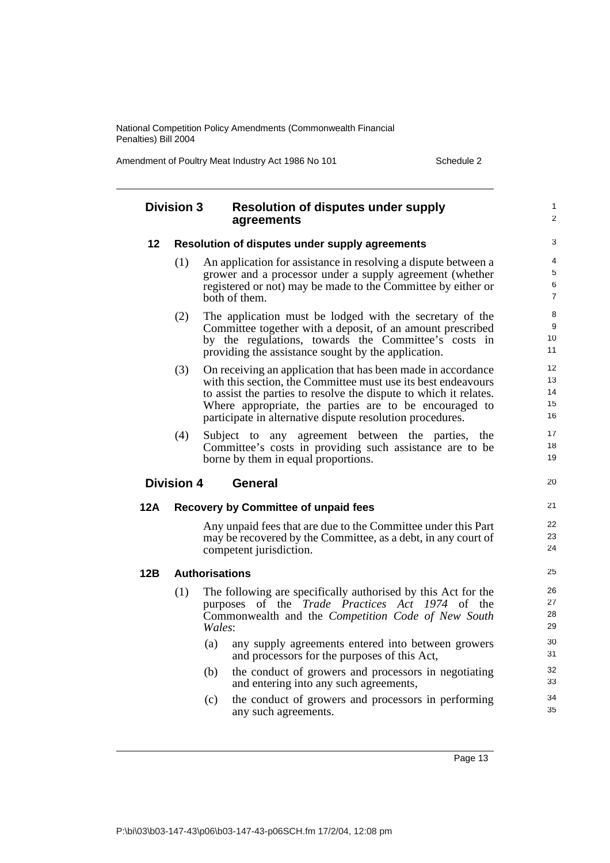Amendment of Poultry Meat Industry Act 1986 No 101 Schedule 2

|     | <b>Division 3</b> | <b>Resolution of disputes under supply</b><br>agreements                                                                                                                                                                                                                                                                  |
|-----|-------------------|---------------------------------------------------------------------------------------------------------------------------------------------------------------------------------------------------------------------------------------------------------------------------------------------------------------------------|
| 12  |                   | Resolution of disputes under supply agreements                                                                                                                                                                                                                                                                            |
|     | (1)               | An application for assistance in resolving a dispute between a<br>grower and a processor under a supply agreement (whether<br>registered or not) may be made to the Committee by either or<br>both of them.                                                                                                               |
|     | (2)               | The application must be lodged with the secretary of the<br>Committee together with a deposit, of an amount prescribed<br>by the regulations, towards the Committee's costs in<br>providing the assistance sought by the application.                                                                                     |
|     | (3)               | On receiving an application that has been made in accordance<br>with this section, the Committee must use its best endeavours<br>to assist the parties to resolve the dispute to which it relates.<br>Where appropriate, the parties are to be encouraged to<br>participate in alternative dispute resolution procedures. |
|     | (4)               | Subject to any agreement between the parties, the<br>Committee's costs in providing such assistance are to be                                                                                                                                                                                                             |
|     |                   | borne by them in equal proportions.                                                                                                                                                                                                                                                                                       |
|     | <b>Division 4</b> | <b>General</b>                                                                                                                                                                                                                                                                                                            |
| 12A |                   | <b>Recovery by Committee of unpaid fees</b>                                                                                                                                                                                                                                                                               |
|     |                   | Any unpaid fees that are due to the Committee under this Part<br>may be recovered by the Committee, as a debt, in any court of<br>competent jurisdiction.                                                                                                                                                                 |
| 12B |                   | <b>Authorisations</b>                                                                                                                                                                                                                                                                                                     |
|     | (1)               | The following are specifically authorised by this Act for the<br>of the Trade Practices Act 1974 of the<br>purposes<br>Commonwealth and the Competition Code of New South<br>Wales:                                                                                                                                       |
|     |                   | (a) any supply agreements entered into between growers<br>and processors for the purposes of this Act,                                                                                                                                                                                                                    |
|     |                   | the conduct of growers and processors in negotiating<br>(b)<br>and entering into any such agreements,                                                                                                                                                                                                                     |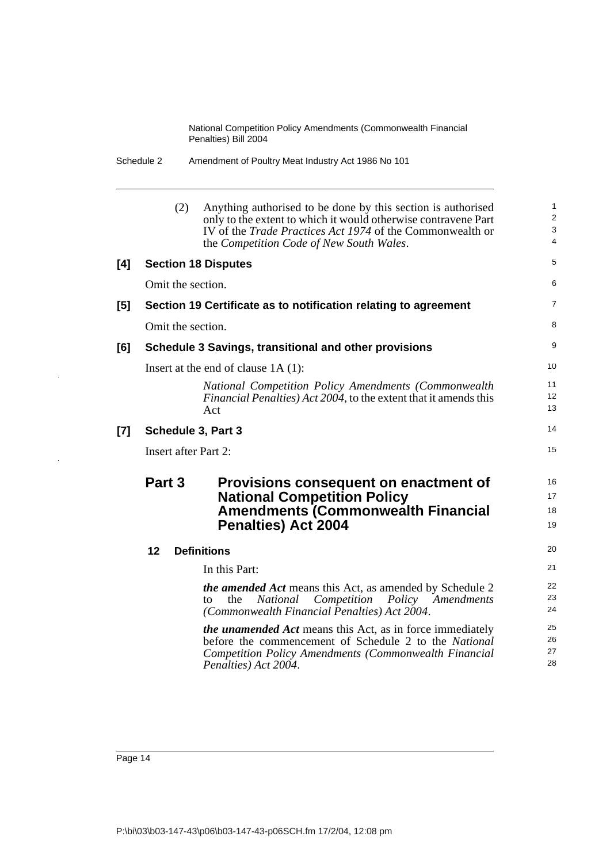| Schedule 2 | Amendment of Poultry Meat Industry Act 1986 No 101 |  |
|------------|----------------------------------------------------|--|
|            |                                                    |  |

|     | (2)                         | Anything authorised to be done by this section is authorised<br>only to the extent to which it would otherwise contravene Part<br>IV of the <i>Trade Practices Act 1974</i> of the Commonwealth or<br>the Competition Code of New South Wales. | 1<br>$\overline{\mathbf{c}}$<br>3<br>4 |
|-----|-----------------------------|------------------------------------------------------------------------------------------------------------------------------------------------------------------------------------------------------------------------------------------------|----------------------------------------|
| [4] |                             | <b>Section 18 Disputes</b>                                                                                                                                                                                                                     | 5                                      |
|     | Omit the section.           |                                                                                                                                                                                                                                                | 6                                      |
| [5] |                             | Section 19 Certificate as to notification relating to agreement                                                                                                                                                                                | 7                                      |
|     | Omit the section.           |                                                                                                                                                                                                                                                | 8                                      |
| [6] |                             | Schedule 3 Savings, transitional and other provisions                                                                                                                                                                                          | 9                                      |
|     |                             | Insert at the end of clause $1A(1)$ :                                                                                                                                                                                                          | 10                                     |
|     |                             | National Competition Policy Amendments (Commonwealth<br>Financial Penalties) Act 2004, to the extent that it amends this<br>Act                                                                                                                | 11<br>12<br>13                         |
| [7] | Schedule 3, Part 3          |                                                                                                                                                                                                                                                | 14                                     |
|     | <b>Insert after Part 2:</b> |                                                                                                                                                                                                                                                | 15                                     |
|     | Part 3                      | Provisions consequent on enactment of<br><b>National Competition Policy</b><br><b>Amendments (Commonwealth Financial</b><br><b>Penalties) Act 2004</b>                                                                                         | 16<br>17<br>18<br>19                   |
|     | 12                          | <b>Definitions</b>                                                                                                                                                                                                                             | 20                                     |
|     |                             | In this Part:                                                                                                                                                                                                                                  | 21                                     |
|     |                             | <i>the amended Act</i> means this Act, as amended by Schedule 2<br>the<br>National<br>Competition<br>Policy<br>Amendments<br>to<br>(Commonwealth Financial Penalties) Act 2004.                                                                | 22<br>23<br>24                         |
|     |                             | <i>the unamended Act</i> means this Act, as in force immediately<br>before the commencement of Schedule 2 to the National<br>Competition Policy Amendments (Commonwealth Financial<br>Penalties) Act 2004.                                     | 25<br>26<br>27<br>28                   |

i.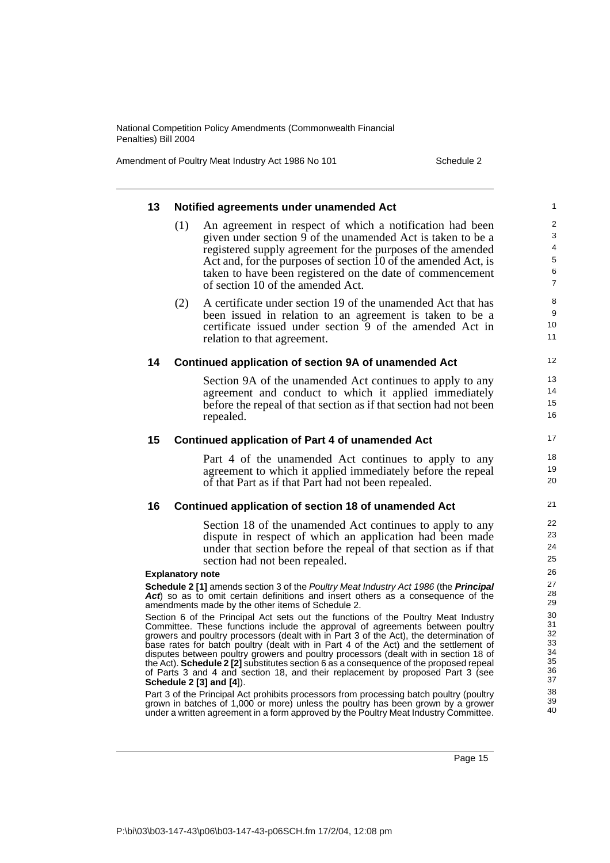Amendment of Poultry Meat Industry Act 1986 No 101 Schedule 2

| 13 |                         | Notified agreements under unamended Act                                                                                                                                     | 1                       |
|----|-------------------------|-----------------------------------------------------------------------------------------------------------------------------------------------------------------------------|-------------------------|
|    | (1)                     | An agreement in respect of which a notification had been                                                                                                                    | 2                       |
|    |                         | given under section 9 of the unamended Act is taken to be a                                                                                                                 | 3                       |
|    |                         | registered supply agreement for the purposes of the amended                                                                                                                 | $\overline{4}$          |
|    |                         | Act and, for the purposes of section 10 of the amended Act, is                                                                                                              | 5                       |
|    |                         | taken to have been registered on the date of commencement<br>of section 10 of the amended Act.                                                                              | $\,6$<br>$\overline{7}$ |
|    | (2)                     | A certificate under section 19 of the unamended Act that has                                                                                                                | 8                       |
|    |                         | been issued in relation to an agreement is taken to be a                                                                                                                    | 9                       |
|    |                         | certificate issued under section 9 of the amended Act in                                                                                                                    | 10                      |
|    |                         | relation to that agreement.                                                                                                                                                 | 11                      |
| 14 |                         | Continued application of section 9A of unamended Act                                                                                                                        | 12                      |
|    |                         | Section 9A of the unamended Act continues to apply to any                                                                                                                   | 13                      |
|    |                         | agreement and conduct to which it applied immediately                                                                                                                       | 14                      |
|    |                         | before the repeal of that section as if that section had not been                                                                                                           | 15                      |
|    |                         | repealed.                                                                                                                                                                   | 16                      |
| 15 |                         | <b>Continued application of Part 4 of unamended Act</b>                                                                                                                     | 17                      |
|    |                         | Part 4 of the unamended Act continues to apply to any                                                                                                                       | 18                      |
|    |                         | agreement to which it applied immediately before the repeal                                                                                                                 | 19                      |
|    |                         | of that Part as if that Part had not been repealed.                                                                                                                         | 20                      |
| 16 |                         | Continued application of section 18 of unamended Act                                                                                                                        | 21                      |
|    |                         | Section 18 of the unamended Act continues to apply to any                                                                                                                   | 22                      |
|    |                         | dispute in respect of which an application had been made                                                                                                                    | 23                      |
|    |                         | under that section before the repeal of that section as if that                                                                                                             | 24                      |
|    |                         |                                                                                                                                                                             | 25                      |
|    |                         | section had not been repealed.                                                                                                                                              |                         |
|    | <b>Explanatory note</b> |                                                                                                                                                                             | 26                      |
|    |                         | Schedule 2 [1] amends section 3 of the Poultry Meat Industry Act 1986 (the Principal<br>Act) so as to omit certain definitions and insert others as a consequence of the    | 27<br>28                |
|    |                         | amendments made by the other items of Schedule 2.                                                                                                                           | 29                      |
|    |                         | Section 6 of the Principal Act sets out the functions of the Poultry Meat Industry                                                                                          | 30<br>31                |
|    |                         | Committee. These functions include the approval of agreements between poultry<br>growers and poultry processors (dealt with in Part 3 of the Act), the determination of     | 32                      |
|    |                         | base rates for batch poultry (dealt with in Part 4 of the Act) and the settlement of                                                                                        | 33                      |
|    |                         | disputes between poultry growers and poultry processors (dealt with in section 18 of                                                                                        | 34<br>35                |
|    |                         | the Act). Schedule 2 [2] substitutes section 6 as a consequence of the proposed repeal<br>of Parts 3 and 4 and section 18, and their replacement by proposed Part 3 (see    | 36                      |
|    |                         | Schedule 2 [3] and [4]).                                                                                                                                                    | 37                      |
|    |                         | Part 3 of the Principal Act prohibits processors from processing batch poultry (poultry<br>grown in batches of 1,000 or more) unless the poultry has been grown by a grower | 38<br>39                |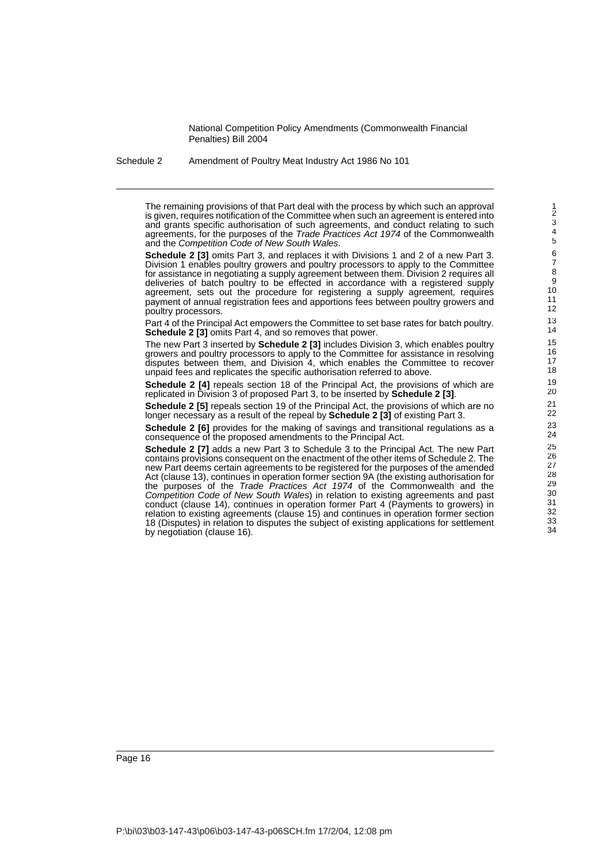Schedule 2 Amendment of Poultry Meat Industry Act 1986 No 101

The remaining provisions of that Part deal with the process by which such an approval is given, requires notification of the Committee when such an agreement is entered into and grants specific authorisation of such agreements, and conduct relating to such agreements, for the purposes of the Trade Practices Act 1974 of the Commonwealth and the Competition Code of New South Wales.

**Schedule 2 [3]** omits Part 3, and replaces it with Divisions 1 and 2 of a new Part 3. Division 1 enables poultry growers and poultry processors to apply to the Committee for assistance in negotiating a supply agreement between them. Division 2 requires all deliveries of batch poultry to be effected in accordance with a registered supply agreement, sets out the procedure for registering a supply agreement, requires payment of annual registration fees and apportions fees between poultry growers and poultry processors.

Part 4 of the Principal Act empowers the Committee to set base rates for batch poultry. **Schedule 2 [3]** omits Part 4, and so removes that power.

The new Part 3 inserted by **Schedule 2 [3]** includes Division 3, which enables poultry growers and poultry processors to apply to the Committee for assistance in resolving disputes between them, and Division 4, which enables the Committee to recover unpaid fees and replicates the specific authorisation referred to above.

**Schedule 2 [4]** repeals section 18 of the Principal Act, the provisions of which are replicated in Division 3 of proposed Part 3, to be inserted by **Schedule 2 [3]**.

**Schedule 2 [5]** repeals section 19 of the Principal Act, the provisions of which are no longer necessary as a result of the repeal by **Schedule 2 [3]** of existing Part 3.

**Schedule 2 [6]** provides for the making of savings and transitional regulations as a consequence of the proposed amendments to the Principal Act.

**Schedule 2 [7]** adds a new Part 3 to Schedule 3 to the Principal Act. The new Part contains provisions consequent on the enactment of the other items of Schedule 2. The new Part deems certain agreements to be registered for the purposes of the amended Act (clause 13), continues in operation former section 9A (the existing authorisation for the purposes of the Trade Practices Act 1974 of the Commonwealth and the Competition Code of New South Wales) in relation to existing agreements and past conduct (clause 14), continues in operation former Part 4 (Payments to growers) in relation to existing agreements (clause 15) and continues in operation former section 18 (Disputes) in relation to disputes the subject of existing applications for settlement by negotiation (clause 16).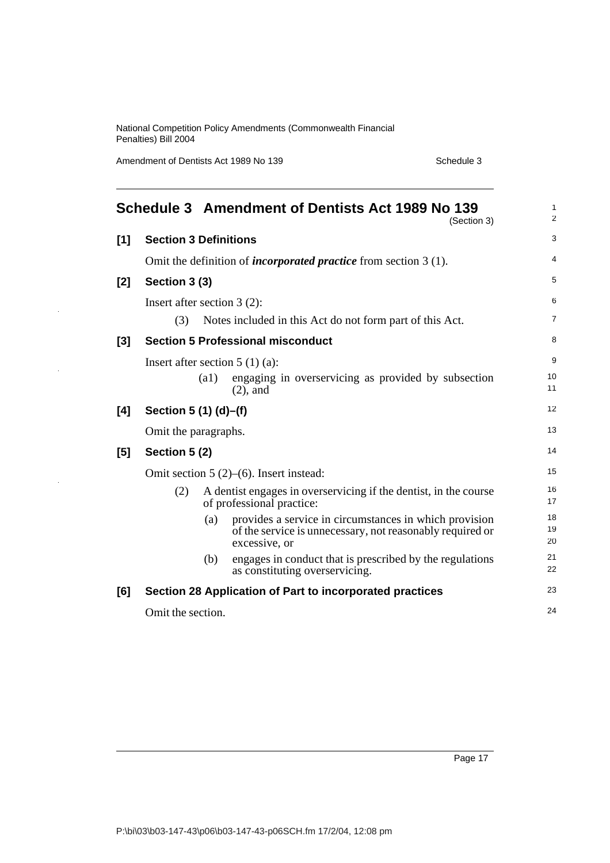Amendment of Dentists Act 1989 No 139 Schedule 3

J.

|       |                                  |      | Schedule 3 Amendment of Dentists Act 1989 No 139<br>(Section 3)                                                                      | $\mathbf{1}$<br>2 |
|-------|----------------------------------|------|--------------------------------------------------------------------------------------------------------------------------------------|-------------------|
| [1]   | <b>Section 3 Definitions</b>     |      |                                                                                                                                      | 3                 |
|       |                                  |      | Omit the definition of <i>incorporated practice</i> from section $3(1)$ .                                                            | 4                 |
| [2]   | Section 3 (3)                    |      |                                                                                                                                      | 5                 |
|       | Insert after section $3(2)$ :    |      |                                                                                                                                      | 6                 |
|       | (3)                              |      | Notes included in this Act do not form part of this Act.                                                                             | $\overline{7}$    |
| $[3]$ |                                  |      | <b>Section 5 Professional misconduct</b>                                                                                             | 8                 |
|       | Insert after section $5(1)(a)$ : |      |                                                                                                                                      | 9                 |
|       |                                  | (a1) | engaging in overservicing as provided by subsection<br>$(2)$ , and                                                                   | 10<br>11          |
| [4]   | Section 5 (1) (d)–(f)            |      |                                                                                                                                      | 12                |
|       | Omit the paragraphs.             |      |                                                                                                                                      | 13                |
| [5]   | Section 5 (2)                    |      |                                                                                                                                      | 14                |
|       |                                  |      | Omit section $5(2)$ –(6). Insert instead:                                                                                            | 15                |
|       | (2)                              |      | A dentist engages in overservicing if the dentist, in the course<br>of professional practice:                                        | 16<br>17          |
|       |                                  | (a)  | provides a service in circumstances in which provision<br>of the service is unnecessary, not reasonably required or<br>excessive, or | 18<br>19<br>20    |
|       |                                  | (b)  | engages in conduct that is prescribed by the regulations<br>as constituting overservicing.                                           | 21<br>22          |
| [6]   |                                  |      | Section 28 Application of Part to incorporated practices                                                                             | 23                |
|       | Omit the section.                |      |                                                                                                                                      | 24                |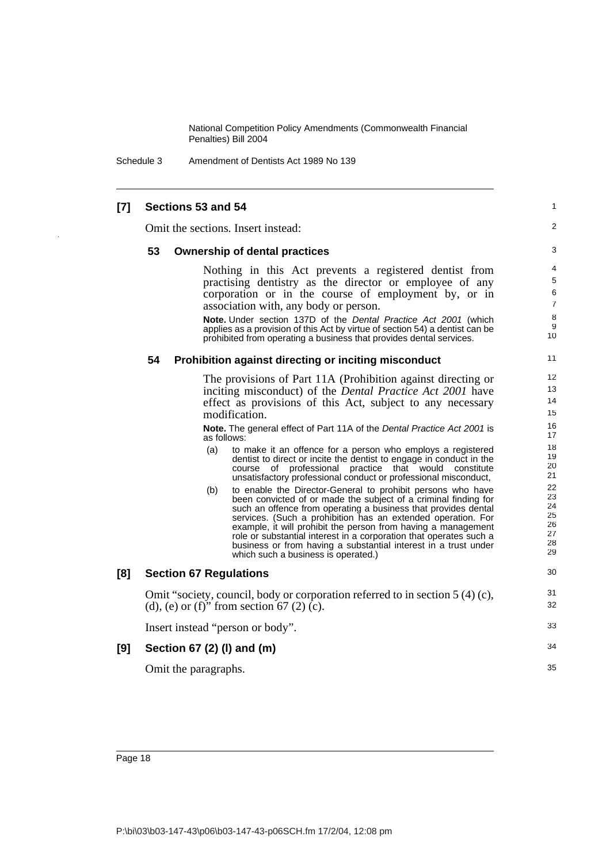Schedule 3 Amendment of Dentists Act 1989 No 139

### **[7] Sections 53 and 54**

Omit the sections. Insert instead:

#### **53 Ownership of dental practices**

Nothing in this Act prevents a registered dentist from practising dentistry as the director or employee of any corporation or in the course of employment by, or in association with, any body or person.

1  $\mathfrak{p}$ 

31 32 33

34

35

**Note.** Under section 137D of the Dental Practice Act 2001 (which applies as a provision of this Act by virtue of section 54) a dentist can be prohibited from operating a business that provides dental services.

#### **54 Prohibition against directing or inciting misconduct**

The provisions of Part 11A (Prohibition against directing or inciting misconduct) of the *Dental Practice Act 2001* have effect as provisions of this Act, subject to any necessary modification.

**Note.** The general effect of Part 11A of the Dental Practice Act 2001 is as follows:

- (a) to make it an offence for a person who employs a registered dentist to direct or incite the dentist to engage in conduct in the course of professional practice that would constitute unsatisfactory professional conduct or professional misconduct,
- (b) to enable the Director-General to prohibit persons who have been convicted of or made the subject of a criminal finding for such an offence from operating a business that provides dental services. (Such a prohibition has an extended operation. For example, it will prohibit the person from having a management role or substantial interest in a corporation that operates such a business or from having a substantial interest in a trust under which such a business is operated.)

#### **[8] Section 67 Regulations**

Omit "society, council, body or corporation referred to in section 5 (4) (c), (d), (e) or (f)" from section 67 (2) (c).

Insert instead "person or body".

#### **[9] Section 67 (2) (l) and (m)**

Omit the paragraphs.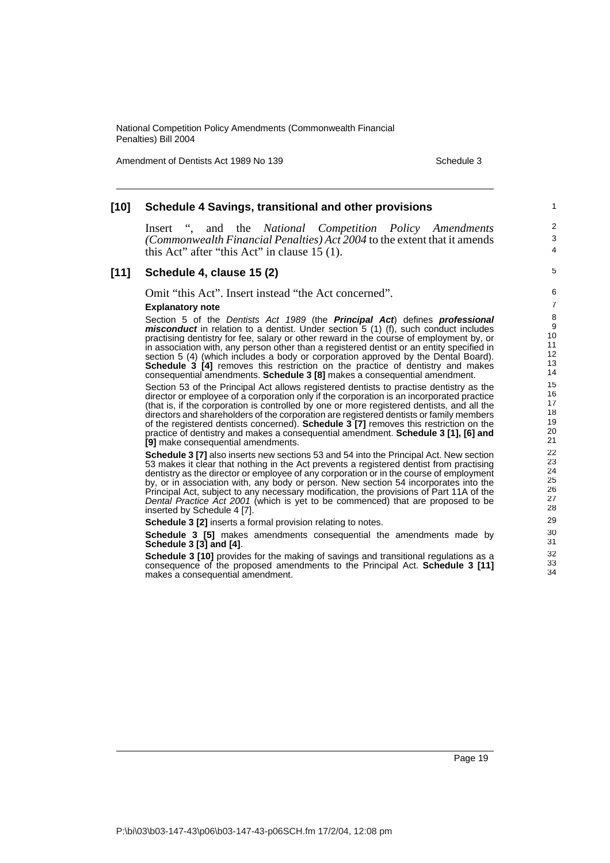Amendment of Dentists Act 1989 No 139 Schedule 3

1

4

34

#### **[10] Schedule 4 Savings, transitional and other provisions** Insert ", and the *National Competition Policy Amendments (Commonwealth Financial Penalties) Act 2004* to the extent that it amends this Act" after "this Act" in clause 15 (1). **[11] Schedule 4, clause 15 (2)** Omit "this Act". Insert instead "the Act concerned". **Explanatory note** Section 5 of the Dentists Act 1989 (the **Principal Act**) defines **professional misconduct** in relation to a dentist. Under section 5 (1) (f), such conduct includes practising dentistry for fee, salary or other reward in the course of employment by, or in association with, any person other than a registered dentist or an entity specified in section 5 (4) (which includes a body or corporation approved by the Dental Board). **Schedule 3 [4]** removes this restriction on the practice of dentistry and makes consequential amendments. **Schedule 3 [8]** makes a consequential amendment. Section 53 of the Principal Act allows registered dentists to practise dentistry as the director or employee of a corporation only if the corporation is an incorporated practice (that is, if the corporation is controlled by one or more registered dentists, and all the directors and shareholders of the corporation are registered dentists or family members of the registered dentists concerned). **Schedule 3 [7]** removes this restriction on the practice of dentistry and makes a consequential amendment. **Schedule 3 [1], [6] and [9]** make consequential amendments. **Schedule 3 [7]** also inserts new sections 53 and 54 into the Principal Act. New section 53 makes it clear that nothing in the Act prevents a registered dentist from practising dentistry as the director or employee of any corporation or in the course of employment by, or in association with, any body or person. New section 54 incorporates into the Principal Act, subject to any necessary modification, the provisions of Part 11A of the Dental Practice Act 2001 (which is yet to be commenced) that are proposed to be inserted by Schedule 4 [7]. **Schedule 3 [2]** inserts a formal provision relating to notes. **Schedule 3 [5]** makes amendments consequential the amendments made by **Schedule 3 [3] and [4]**. **Schedule 3 [10]** provides for the making of savings and transitional regulations as a  $\overline{2}$ 3 5 6 7 8 9 10 11 12 13 14 15 16 17 18 19  $20$ 21 22 23 24 25 26 27 28 29 30 31 32 33

consequence of the proposed amendments to the Principal Act. **Schedule 3 [11]** makes a consequential amendment.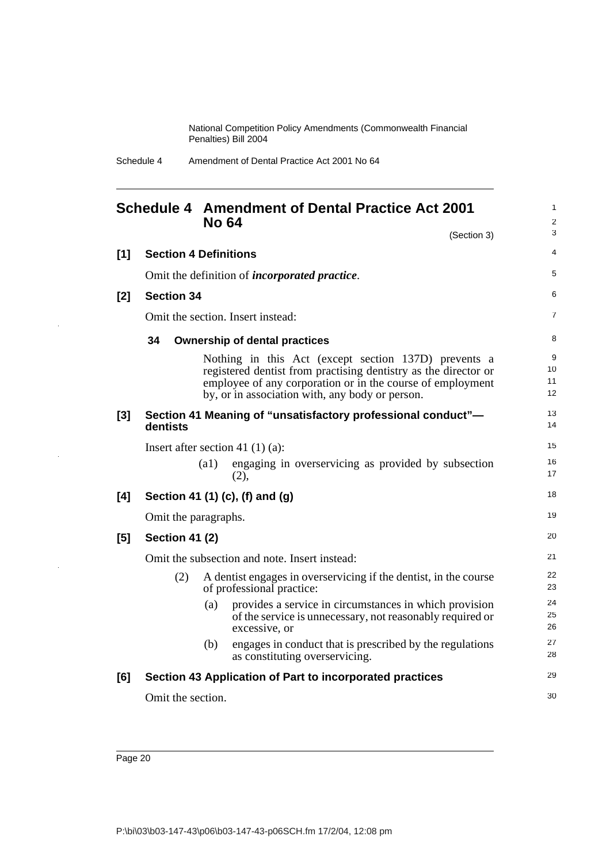Schedule 4 Amendment of Dental Practice Act 2001 No 64

### **Schedule 4 Amendment of Dental Practice Act 2001 No 64** (Section 3) **[1] Section 4 Definitions**

1 2 3

Omit the definition of *incorporated practice*. **[2] Section 34**  Omit the section. Insert instead: **34 Ownership of dental practices** Nothing in this Act (except section 137D) prevents a registered dentist from practising dentistry as the director or employee of any corporation or in the course of employment by, or in association with, any body or person. **[3] Section 41 Meaning of "unsatisfactory professional conduct" dentists** Insert after section 41 (1) (a): (a1) engaging in overservicing as provided by subsection (2), **[4] Section 41 (1) (c), (f) and (g)** Omit the paragraphs. **[5] Section 41 (2)** Omit the subsection and note. Insert instead: (2) A dentist engages in overservicing if the dentist, in the course of professional practice: (a) provides a service in circumstances in which provision of the service is unnecessary, not reasonably required or excessive, or (b) engages in conduct that is prescribed by the regulations as constituting overservicing. **[6] Section 43 Application of Part to incorporated practices** Omit the section. 4 5 6 7 8 9 10 11 12 13 14 15 16 17 18 19 20 21 22 23 24 25 26 27 28 29 30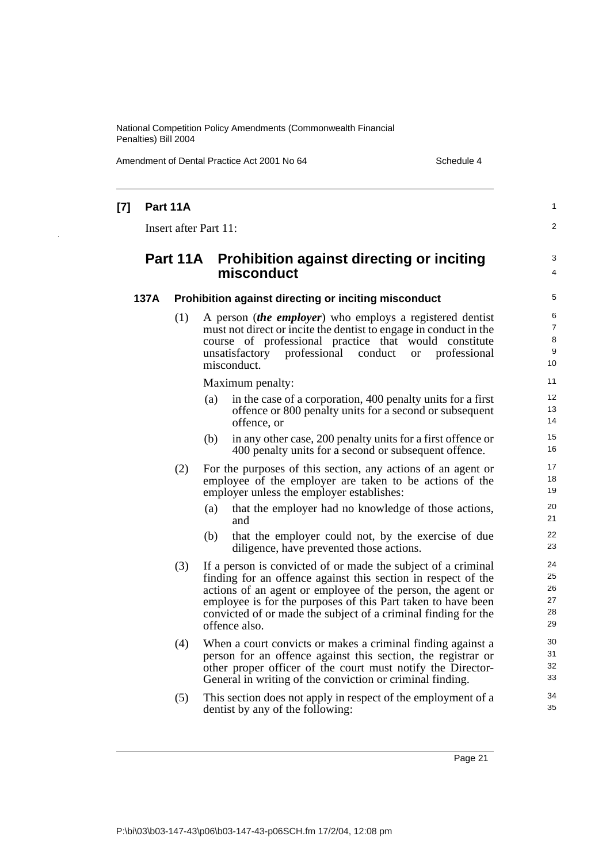Amendment of Dental Practice Act 2001 No 64 Schedule 4

| $[7]$ | Part 11A |                                                                                                                                                                                                                                                                                                                                                  | 1                                |
|-------|----------|--------------------------------------------------------------------------------------------------------------------------------------------------------------------------------------------------------------------------------------------------------------------------------------------------------------------------------------------------|----------------------------------|
|       |          | Insert after Part 11:                                                                                                                                                                                                                                                                                                                            | $\overline{a}$                   |
|       | Part 11A | <b>Prohibition against directing or inciting</b><br>misconduct                                                                                                                                                                                                                                                                                   | 3<br>4                           |
| 137A  |          | Prohibition against directing or inciting misconduct                                                                                                                                                                                                                                                                                             | 5                                |
|       | (1)      | A person <i>(the employer)</i> who employs a registered dentist<br>must not direct or incite the dentist to engage in conduct in the<br>course of professional practice that would constitute<br>professional<br>unsatisfactory<br>conduct<br>professional<br><b>or</b><br>misconduct.                                                           | 6<br>7<br>8<br>9<br>10           |
|       |          | Maximum penalty:                                                                                                                                                                                                                                                                                                                                 | 11                               |
|       |          | in the case of a corporation, 400 penalty units for a first<br>(a)<br>offence or 800 penalty units for a second or subsequent<br>offence, or                                                                                                                                                                                                     | 12<br>13<br>14                   |
|       |          | in any other case, 200 penalty units for a first offence or<br>(b)<br>400 penalty units for a second or subsequent offence.                                                                                                                                                                                                                      | 15<br>16                         |
|       | (2)      | For the purposes of this section, any actions of an agent or<br>employee of the employer are taken to be actions of the<br>employer unless the employer establishes:                                                                                                                                                                             | 17<br>18<br>19                   |
|       |          | that the employer had no knowledge of those actions,<br>(a)<br>and                                                                                                                                                                                                                                                                               | 20<br>21                         |
|       |          | that the employer could not, by the exercise of due<br>(b)<br>diligence, have prevented those actions.                                                                                                                                                                                                                                           | 22<br>23                         |
|       | (3)      | If a person is convicted of or made the subject of a criminal<br>finding for an offence against this section in respect of the<br>actions of an agent or employee of the person, the agent or<br>employee is for the purposes of this Part taken to have been<br>convicted of or made the subject of a criminal finding for the<br>offence also. | 24<br>25<br>26<br>27<br>28<br>29 |
|       | (4)      | When a court convicts or makes a criminal finding against a<br>person for an offence against this section, the registrar or<br>other proper officer of the court must notify the Director-<br>General in writing of the conviction or criminal finding.                                                                                          | 30<br>31<br>32<br>33             |
|       | (5)      | This section does not apply in respect of the employment of a<br>dentist by any of the following:                                                                                                                                                                                                                                                | 34<br>35                         |
|       |          |                                                                                                                                                                                                                                                                                                                                                  |                                  |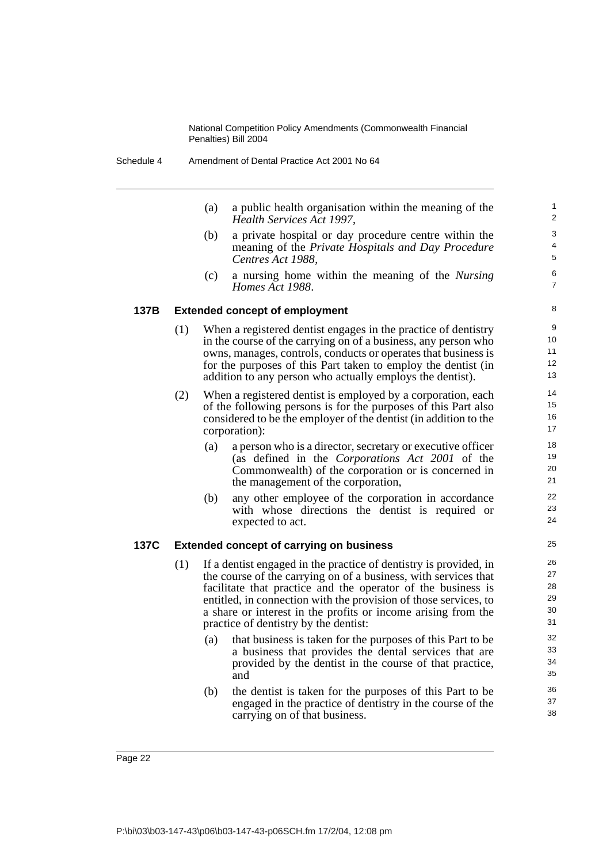(a) a public health organisation within the meaning of the *Health Services Act 1997*,

- (b) a private hospital or day procedure centre within the meaning of the *Private Hospitals and Day Procedure Centres Act 1988*,
- (c) a nursing home within the meaning of the *Nursing Homes Act 1988*.

#### **137B Extended concept of employment**

- (1) When a registered dentist engages in the practice of dentistry in the course of the carrying on of a business, any person who owns, manages, controls, conducts or operates that business is for the purposes of this Part taken to employ the dentist (in addition to any person who actually employs the dentist).
- (2) When a registered dentist is employed by a corporation, each of the following persons is for the purposes of this Part also considered to be the employer of the dentist (in addition to the corporation):
	- (a) a person who is a director, secretary or executive officer (as defined in the *Corporations Act 2001* of the Commonwealth) of the corporation or is concerned in the management of the corporation,
	- (b) any other employee of the corporation in accordance with whose directions the dentist is required or expected to act.

#### **137C Extended concept of carrying on business**

- (1) If a dentist engaged in the practice of dentistry is provided, in the course of the carrying on of a business, with services that facilitate that practice and the operator of the business is entitled, in connection with the provision of those services, to a share or interest in the profits or income arising from the practice of dentistry by the dentist:
	- (a) that business is taken for the purposes of this Part to be a business that provides the dental services that are provided by the dentist in the course of that practice, and
	- (b) the dentist is taken for the purposes of this Part to be engaged in the practice of dentistry in the course of the carrying on of that business.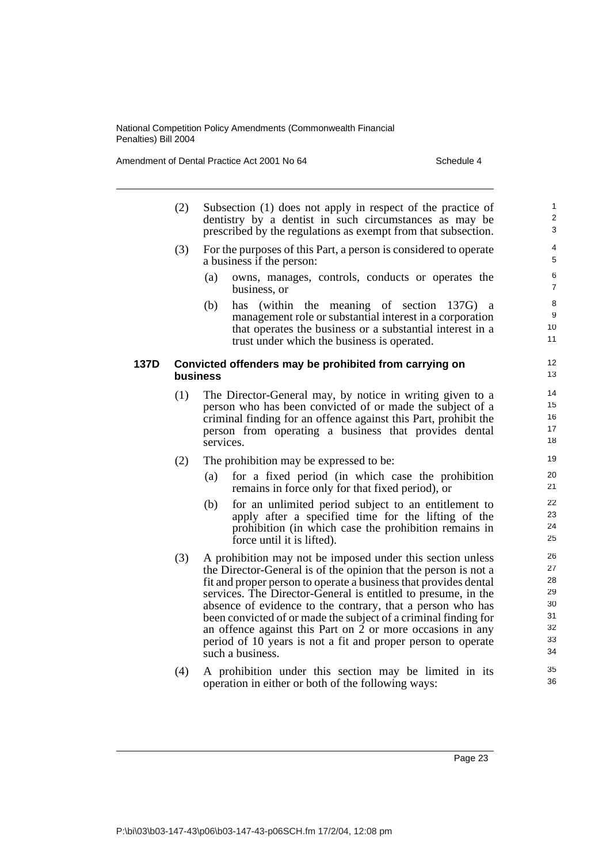Amendment of Dental Practice Act 2001 No 64 Schedule 4

|      | (2) | Subsection (1) does not apply in respect of the practice of<br>dentistry by a dentist in such circumstances as may be<br>prescribed by the regulations as exempt from that subsection.                                                                                                                                                                                                                                                                                                                                                                | $\mathbf{1}$<br>$\overline{2}$<br>3                |
|------|-----|-------------------------------------------------------------------------------------------------------------------------------------------------------------------------------------------------------------------------------------------------------------------------------------------------------------------------------------------------------------------------------------------------------------------------------------------------------------------------------------------------------------------------------------------------------|----------------------------------------------------|
|      | (3) | For the purposes of this Part, a person is considered to operate<br>a business if the person:                                                                                                                                                                                                                                                                                                                                                                                                                                                         | $\overline{\mathbf{4}}$<br>5                       |
|      |     | (a)<br>owns, manages, controls, conducts or operates the<br>business, or                                                                                                                                                                                                                                                                                                                                                                                                                                                                              | 6<br>$\overline{7}$                                |
|      |     | (b)<br>(within the meaning of section 137G) a<br>has<br>management role or substantial interest in a corporation<br>that operates the business or a substantial interest in a<br>trust under which the business is operated.                                                                                                                                                                                                                                                                                                                          | 8<br>9<br>10<br>11                                 |
| 137D |     | Convicted offenders may be prohibited from carrying on<br>business                                                                                                                                                                                                                                                                                                                                                                                                                                                                                    | 12<br>13                                           |
|      | (1) | The Director-General may, by notice in writing given to a<br>person who has been convicted of or made the subject of a<br>criminal finding for an offence against this Part, prohibit the<br>person from operating a business that provides dental<br>services.                                                                                                                                                                                                                                                                                       | 14<br>15<br>16<br>17<br>18                         |
|      | (2) | The prohibition may be expressed to be:                                                                                                                                                                                                                                                                                                                                                                                                                                                                                                               | 19                                                 |
|      |     | for a fixed period (in which case the prohibition<br>(a)<br>remains in force only for that fixed period), or                                                                                                                                                                                                                                                                                                                                                                                                                                          | 20<br>21                                           |
|      |     | for an unlimited period subject to an entitlement to<br>(b)<br>apply after a specified time for the lifting of the<br>prohibition (in which case the prohibition remains in<br>force until it is lifted).                                                                                                                                                                                                                                                                                                                                             | 22<br>23<br>24<br>25                               |
|      | (3) | A prohibition may not be imposed under this section unless<br>the Director-General is of the opinion that the person is not a<br>fit and proper person to operate a business that provides dental<br>services. The Director-General is entitled to presume, in the<br>absence of evidence to the contrary, that a person who has<br>been convicted of or made the subject of a criminal finding for<br>an offence against this Part on 2 or more occasions in any<br>period of 10 years is not a fit and proper person to operate<br>such a business. | 26<br>27<br>28<br>29<br>30<br>31<br>32<br>33<br>34 |
|      | (4) | A prohibition under this section may be limited in its<br>operation in either or both of the following ways:                                                                                                                                                                                                                                                                                                                                                                                                                                          | 35<br>36                                           |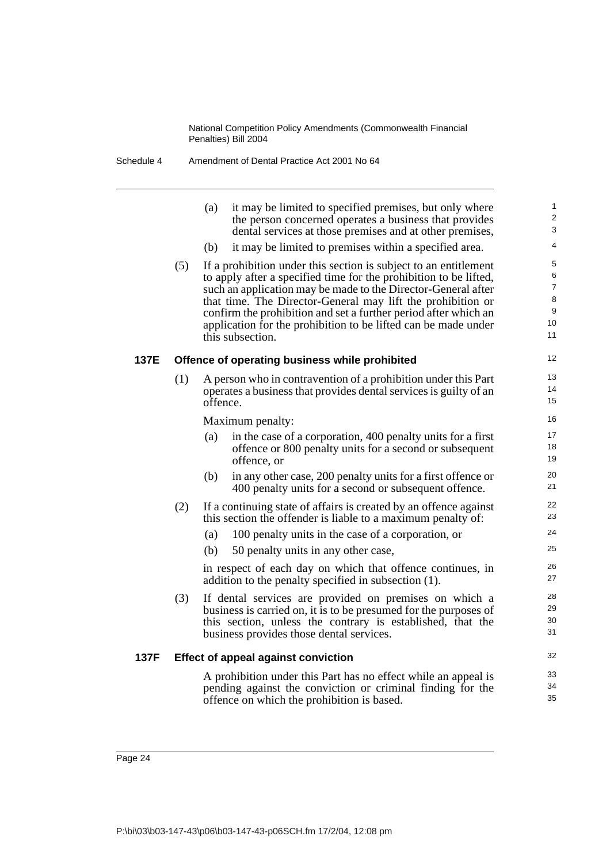|      |     | (a)<br>it may be limited to specified premises, but only where<br>the person concerned operates a business that provides<br>dental services at those premises and at other premises,                                                                                                                                                                                                                                           | 1<br>$\overline{2}$<br>3                       |
|------|-----|--------------------------------------------------------------------------------------------------------------------------------------------------------------------------------------------------------------------------------------------------------------------------------------------------------------------------------------------------------------------------------------------------------------------------------|------------------------------------------------|
|      |     | it may be limited to premises within a specified area.<br>(b)                                                                                                                                                                                                                                                                                                                                                                  | 4                                              |
|      | (5) | If a prohibition under this section is subject to an entitlement<br>to apply after a specified time for the prohibition to be lifted,<br>such an application may be made to the Director-General after<br>that time. The Director-General may lift the prohibition or<br>confirm the prohibition and set a further period after which an<br>application for the prohibition to be lifted can be made under<br>this subsection. | 5<br>6<br>$\overline{7}$<br>8<br>9<br>10<br>11 |
| 137E |     | Offence of operating business while prohibited                                                                                                                                                                                                                                                                                                                                                                                 | 12                                             |
|      | (1) | A person who in contravention of a prohibition under this Part<br>operates a business that provides dental services is guilty of an<br>offence.                                                                                                                                                                                                                                                                                | 13<br>14<br>15                                 |
|      |     | Maximum penalty:                                                                                                                                                                                                                                                                                                                                                                                                               | 16                                             |
|      |     | in the case of a corporation, 400 penalty units for a first<br>(a)<br>offence or 800 penalty units for a second or subsequent<br>offence, or                                                                                                                                                                                                                                                                                   | 17<br>18<br>19                                 |
|      |     | (b)<br>in any other case, 200 penalty units for a first offence or<br>400 penalty units for a second or subsequent offence.                                                                                                                                                                                                                                                                                                    | 20<br>21                                       |
|      | (2) | If a continuing state of affairs is created by an offence against<br>this section the offender is liable to a maximum penalty of:                                                                                                                                                                                                                                                                                              | 22<br>23                                       |
|      |     | (a)<br>100 penalty units in the case of a corporation, or                                                                                                                                                                                                                                                                                                                                                                      | 24                                             |
|      |     | (b)<br>50 penalty units in any other case,                                                                                                                                                                                                                                                                                                                                                                                     | 25                                             |
|      |     | in respect of each day on which that offence continues, in<br>addition to the penalty specified in subsection (1).                                                                                                                                                                                                                                                                                                             | 26<br>27                                       |
|      | (3) | If dental services are provided on premises on which a<br>business is carried on, it is to be presumed for the purposes of<br>this section, unless the contrary is established, that the<br>business provides those dental services.                                                                                                                                                                                           | 28<br>29<br>30<br>31                           |
| 137F |     | <b>Effect of appeal against conviction</b>                                                                                                                                                                                                                                                                                                                                                                                     | 32                                             |
|      |     | A prohibition under this Part has no effect while an appeal is<br>pending against the conviction or criminal finding for the<br>offence on which the prohibition is based.                                                                                                                                                                                                                                                     | 33<br>34<br>35                                 |
|      |     |                                                                                                                                                                                                                                                                                                                                                                                                                                |                                                |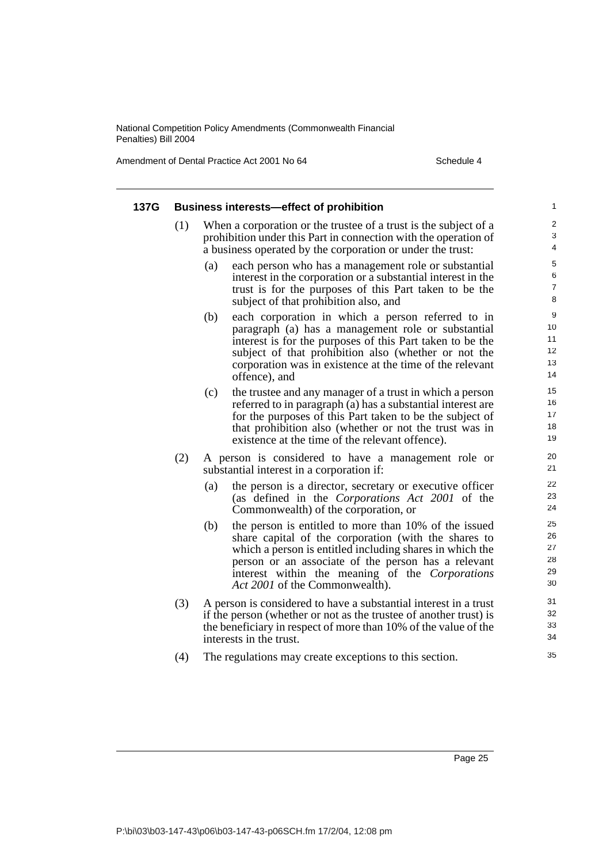Amendment of Dental Practice Act 2001 No 64 Schedule 4

| 137G |     | <b>Business interests-effect of prohibition</b>                                                                                                                                                                                                                                                                              | 1                                          |
|------|-----|------------------------------------------------------------------------------------------------------------------------------------------------------------------------------------------------------------------------------------------------------------------------------------------------------------------------------|--------------------------------------------|
|      | (1) | When a corporation or the trustee of a trust is the subject of a<br>prohibition under this Part in connection with the operation of<br>a business operated by the corporation or under the trust:                                                                                                                            | $\overline{2}$<br>$\mathbf{3}$<br>4        |
|      |     | each person who has a management role or substantial<br>(a)<br>interest in the corporation or a substantial interest in the<br>trust is for the purposes of this Part taken to be the<br>subject of that prohibition also, and                                                                                               | $\sqrt{5}$<br>$\,6$<br>$\overline{7}$<br>8 |
|      |     | each corporation in which a person referred to in<br>(b)<br>paragraph (a) has a management role or substantial<br>interest is for the purposes of this Part taken to be the<br>subject of that prohibition also (whether or not the<br>corporation was in existence at the time of the relevant<br>offence), and             | 9<br>10<br>11<br>12<br>13<br>14            |
|      |     | (c)<br>the trustee and any manager of a trust in which a person<br>referred to in paragraph (a) has a substantial interest are<br>for the purposes of this Part taken to be the subject of<br>that prohibition also (whether or not the trust was in<br>existence at the time of the relevant offence).                      | 15<br>16<br>17<br>18<br>19                 |
|      | (2) | A person is considered to have a management role or<br>substantial interest in a corporation if:                                                                                                                                                                                                                             | 20<br>21                                   |
|      |     | the person is a director, secretary or executive officer<br>(a)<br>(as defined in the <i>Corporations Act 2001</i> of the<br>Commonwealth) of the corporation, or                                                                                                                                                            | 22<br>23<br>24                             |
|      |     | the person is entitled to more than 10% of the issued<br>(b)<br>share capital of the corporation (with the shares to<br>which a person is entitled including shares in which the<br>person or an associate of the person has a relevant<br>interest within the meaning of the Corporations<br>Act 2001 of the Commonwealth). | 25<br>26<br>27<br>28<br>29<br>30           |
|      | (3) | A person is considered to have a substantial interest in a trust<br>if the person (whether or not as the trustee of another trust) is<br>the beneficiary in respect of more than 10% of the value of the<br>interests in the trust.                                                                                          | 31<br>32<br>33<br>34                       |
|      | (4) | The regulations may create exceptions to this section.                                                                                                                                                                                                                                                                       | 35                                         |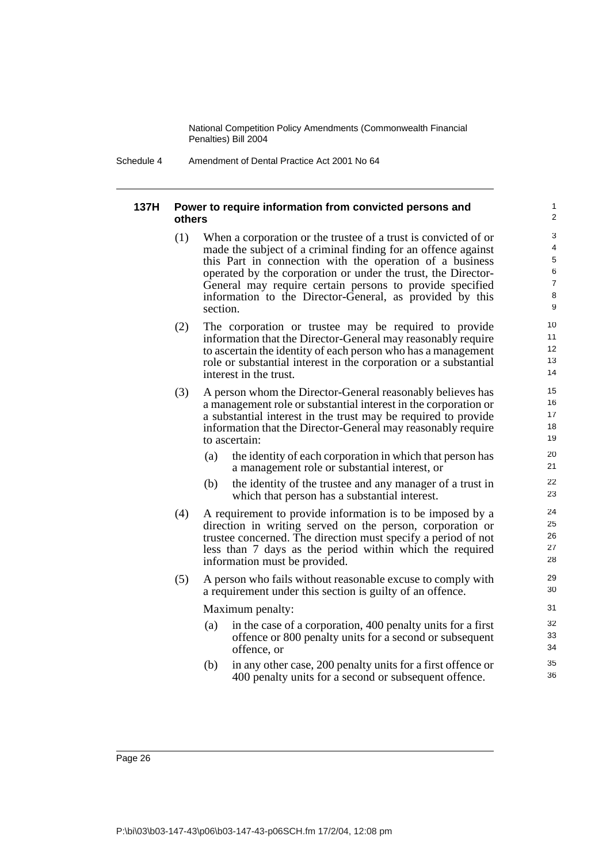Schedule 4 Amendment of Dental Practice Act 2001 No 64

#### **137H Power to require information from convicted persons and others**

(1) When a corporation or the trustee of a trust is convicted of or made the subject of a criminal finding for an offence against this Part in connection with the operation of a business operated by the corporation or under the trust, the Director-General may require certain persons to provide specified information to the Director-General, as provided by this section.

- (2) The corporation or trustee may be required to provide information that the Director-General may reasonably require to ascertain the identity of each person who has a management role or substantial interest in the corporation or a substantial interest in the trust.
- (3) A person whom the Director-General reasonably believes has a management role or substantial interest in the corporation or a substantial interest in the trust may be required to provide information that the Director-General may reasonably require to ascertain:
	- (a) the identity of each corporation in which that person has a management role or substantial interest, or
	- (b) the identity of the trustee and any manager of a trust in which that person has a substantial interest.
- (4) A requirement to provide information is to be imposed by a direction in writing served on the person, corporation or trustee concerned. The direction must specify a period of not less than 7 days as the period within which the required information must be provided.
- (5) A person who fails without reasonable excuse to comply with a requirement under this section is guilty of an offence.

Maximum penalty:

- (a) in the case of a corporation, 400 penalty units for a first offence or 800 penalty units for a second or subsequent offence, or
- (b) in any other case, 200 penalty units for a first offence or 400 penalty units for a second or subsequent offence.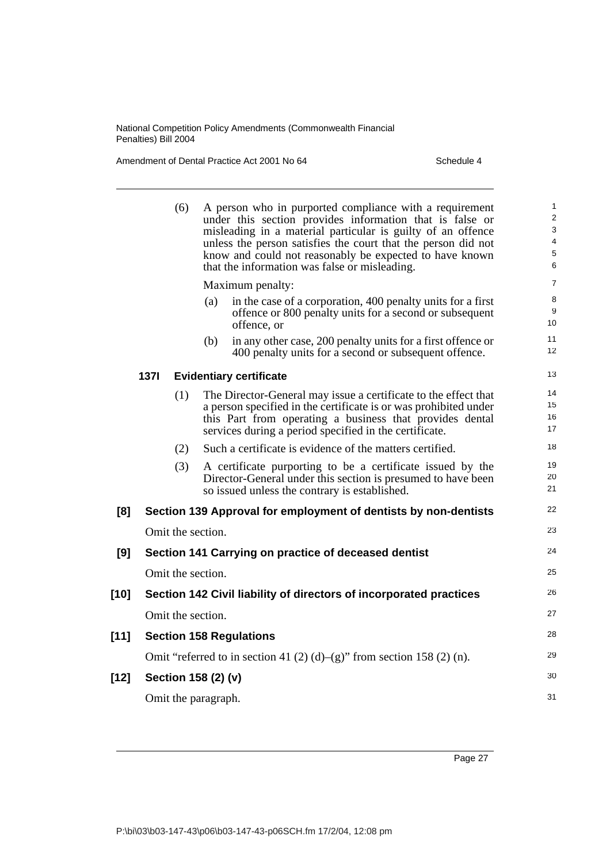Amendment of Dental Practice Act 2001 No 64 Schedule 4

|        |             | (6) | A person who in purported compliance with a requirement<br>under this section provides information that is false or<br>misleading in a material particular is guilty of an offence<br>unless the person satisfies the court that the person did not<br>know and could not reasonably be expected to have known<br>that the information was false or misleading.<br>Maximum penalty: | $\mathbf{1}$<br>$\overline{2}$<br>3<br>$\overline{4}$<br>5<br>6<br>$\overline{7}$ |
|--------|-------------|-----|-------------------------------------------------------------------------------------------------------------------------------------------------------------------------------------------------------------------------------------------------------------------------------------------------------------------------------------------------------------------------------------|-----------------------------------------------------------------------------------|
|        |             |     |                                                                                                                                                                                                                                                                                                                                                                                     | 8                                                                                 |
|        |             |     | (a)<br>in the case of a corporation, 400 penalty units for a first<br>offence or 800 penalty units for a second or subsequent<br>offence, or                                                                                                                                                                                                                                        | 9<br>10 <sup>1</sup>                                                              |
|        |             |     | in any other case, 200 penalty units for a first offence or<br>(b)<br>400 penalty units for a second or subsequent offence.                                                                                                                                                                                                                                                         | 11<br>12 <sup>2</sup>                                                             |
|        | <b>1371</b> |     | <b>Evidentiary certificate</b>                                                                                                                                                                                                                                                                                                                                                      | 13                                                                                |
|        |             | (1) | The Director-General may issue a certificate to the effect that<br>a person specified in the certificate is or was prohibited under<br>this Part from operating a business that provides dental<br>services during a period specified in the certificate.                                                                                                                           | 14<br>15<br>16<br>17                                                              |
|        |             | (2) | Such a certificate is evidence of the matters certified.                                                                                                                                                                                                                                                                                                                            | 18                                                                                |
|        |             | (3) | A certificate purporting to be a certificate issued by the<br>Director-General under this section is presumed to have been<br>so issued unless the contrary is established.                                                                                                                                                                                                         | 19<br>20<br>21                                                                    |
| [8]    |             |     | Section 139 Approval for employment of dentists by non-dentists                                                                                                                                                                                                                                                                                                                     | 22                                                                                |
|        |             |     | Omit the section.                                                                                                                                                                                                                                                                                                                                                                   | 23                                                                                |
| [9]    |             |     | Section 141 Carrying on practice of deceased dentist                                                                                                                                                                                                                                                                                                                                | 24                                                                                |
|        |             |     | Omit the section.                                                                                                                                                                                                                                                                                                                                                                   | 25                                                                                |
| $[10]$ |             |     | Section 142 Civil liability of directors of incorporated practices                                                                                                                                                                                                                                                                                                                  | 26                                                                                |
|        |             |     | Omit the section.                                                                                                                                                                                                                                                                                                                                                                   | 27                                                                                |
| $[11]$ |             |     | <b>Section 158 Regulations</b>                                                                                                                                                                                                                                                                                                                                                      | 28                                                                                |
|        |             |     | Omit "referred to in section 41 (2) (d)–(g)" from section 158 (2) (n).                                                                                                                                                                                                                                                                                                              | 29                                                                                |
| $[12]$ |             |     | Section 158 (2) (v)                                                                                                                                                                                                                                                                                                                                                                 | 30                                                                                |
|        |             |     | Omit the paragraph.                                                                                                                                                                                                                                                                                                                                                                 | 31                                                                                |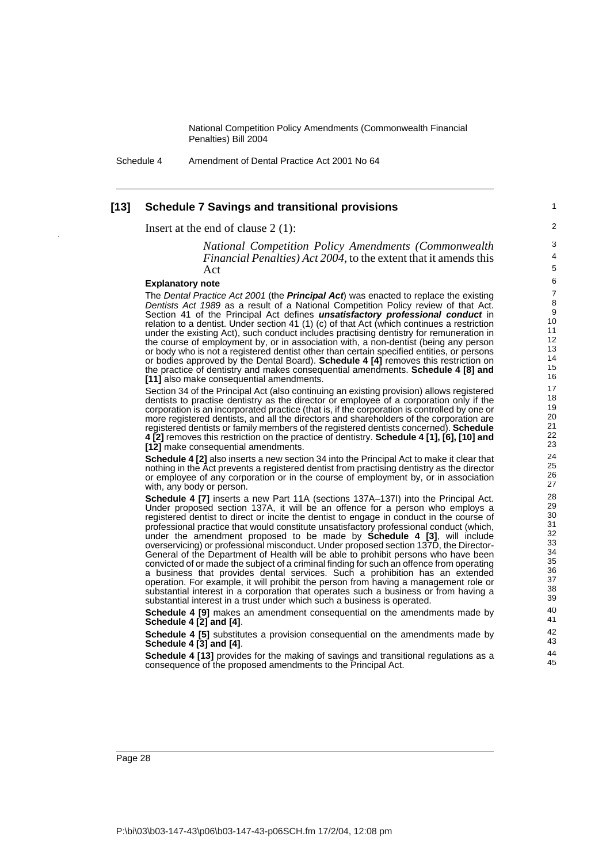Schedule 4 Amendment of Dental Practice Act 2001 No 64

#### **[13] Schedule 7 Savings and transitional provisions**

1  $\overline{2}$ 

# Insert at the end of clause 2 (1):

*National Competition Policy Amendments (Commonwealth Financial Penalties) Act 2004*, to the extent that it amends this Act

### **Explanatory note**

The Dental Practice Act 2001 (the **Principal Act**) was enacted to replace the existing Dentists Act 1989 as a result of a National Competition Policy review of that Act. Section 41 of the Principal Act defines **unsatisfactory professional conduct** in relation to a dentist. Under section 41 (1) (c) of that Act (which continues a restriction under the existing Act), such conduct includes practising dentistry for remuneration in the course of employment by, or in association with, a non-dentist (being any person or body who is not a registered dentist other than certain specified entities, or persons or bodies approved by the Dental Board). **Schedule 4 [4]** removes this restriction on the practice of dentistry and makes consequential amendments. **Schedule 4 [8] and [11]** also make consequential amendments.

Section 34 of the Principal Act (also continuing an existing provision) allows registered dentists to practise dentistry as the director or employee of a corporation only if the corporation is an incorporated practice (that is, if the corporation is controlled by one or more registered dentists, and all the directors and shareholders of the corporation are registered dentists or family members of the registered dentists concerned). **Schedule 4 [2]** removes this restriction on the practice of dentistry. **Schedule 4 [1], [6], [10] and [12]** make consequential amendments.

**Schedule 4 [2]** also inserts a new section 34 into the Principal Act to make it clear that nothing in the Act prevents a registered dentist from practising dentistry as the director or employee of any corporation or in the course of employment by, or in association with, any body or person.

**Schedule 4 [7]** inserts a new Part 11A (sections 137A-137I) into the Principal Act. Under proposed section 137A, it will be an offence for a person who employs a registered dentist to direct or incite the dentist to engage in conduct in the course of professional practice that would constitute unsatisfactory professional conduct (which, under the amendment proposed to be made by **Schedule 4 [3]**, will include overservicing) or professional misconduct. Under proposed section 137D, the Director-General of the Department of Health will be able to prohibit persons who have been convicted of or made the subject of a criminal finding for such an offence from operating a business that provides dental services. Such a prohibition has an extended operation. For example, it will prohibit the person from having a management role or substantial interest in a corporation that operates such a business or from having a substantial interest in a trust under which such a business is operated.

**Schedule 4 [9]** makes an amendment consequential on the amendments made by **Schedule 4 [2] and [4]**.

**Schedule 4 [5]** substitutes a provision consequential on the amendments made by **Schedule 4 [3] and [4]**.

**Schedule 4 [13]** provides for the making of savings and transitional regulations as a consequence of the proposed amendments to the Principal Act.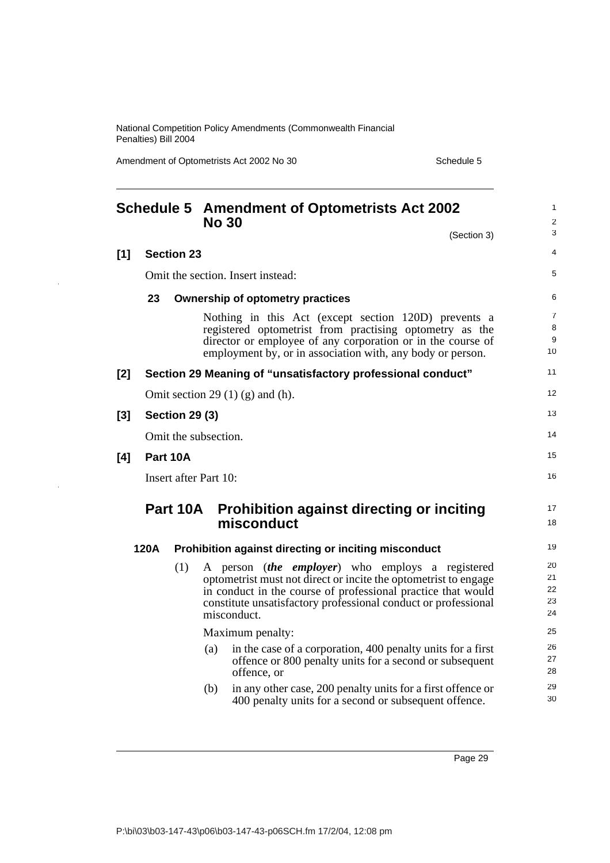Amendment of Optometrists Act 2002 No 30 Schedule 5

|     |      |                       | <b>Schedule 5 Amendment of Optometrists Act 2002</b><br><b>No 30</b>                                                                                                                                                                                                        | 1<br>$\overline{\mathbf{c}}$ |
|-----|------|-----------------------|-----------------------------------------------------------------------------------------------------------------------------------------------------------------------------------------------------------------------------------------------------------------------------|------------------------------|
|     |      |                       | (Section 3)                                                                                                                                                                                                                                                                 | 3                            |
| [1] |      | <b>Section 23</b>     |                                                                                                                                                                                                                                                                             | 4                            |
|     |      |                       | Omit the section. Insert instead:                                                                                                                                                                                                                                           | 5                            |
|     | 23   |                       | <b>Ownership of optometry practices</b>                                                                                                                                                                                                                                     | 6                            |
|     |      |                       | Nothing in this Act (except section 120D) prevents a<br>registered optometrist from practising optometry as the<br>director or employee of any corporation or in the course of<br>employment by, or in association with, any body or person.                                | 7<br>8<br>9<br>10            |
| [2] |      |                       | Section 29 Meaning of "unsatisfactory professional conduct"                                                                                                                                                                                                                 | 11                           |
|     |      |                       | Omit section 29 $(1)$ (g) and (h).                                                                                                                                                                                                                                          | 12                           |
| [3] |      | <b>Section 29 (3)</b> |                                                                                                                                                                                                                                                                             | 13                           |
|     |      |                       | Omit the subsection.                                                                                                                                                                                                                                                        | 14                           |
| [4] |      | Part 10A              |                                                                                                                                                                                                                                                                             | 15                           |
|     |      |                       | Insert after Part 10:                                                                                                                                                                                                                                                       | 16                           |
|     |      | Part 10A              | <b>Prohibition against directing or inciting</b><br>misconduct                                                                                                                                                                                                              | 17<br>18                     |
|     | 120A |                       | Prohibition against directing or inciting misconduct                                                                                                                                                                                                                        | 19                           |
|     |      | (1)                   | A person <i>(the employer)</i> who employs a registered<br>optometrist must not direct or incite the optometrist to engage<br>in conduct in the course of professional practice that would<br>constitute unsatisfactory professional conduct or professional<br>misconduct. | 20<br>21<br>22<br>23<br>24   |
|     |      |                       | Maximum penalty:                                                                                                                                                                                                                                                            | 25                           |
|     |      |                       | in the case of a corporation, 400 penalty units for a first<br>(a)<br>offence or 800 penalty units for a second or subsequent<br>offence, or                                                                                                                                | 26<br>27<br>28               |
|     |      |                       | in any other case, 200 penalty units for a first offence or<br>(b)<br>400 penalty units for a second or subsequent offence.                                                                                                                                                 | 29<br>30                     |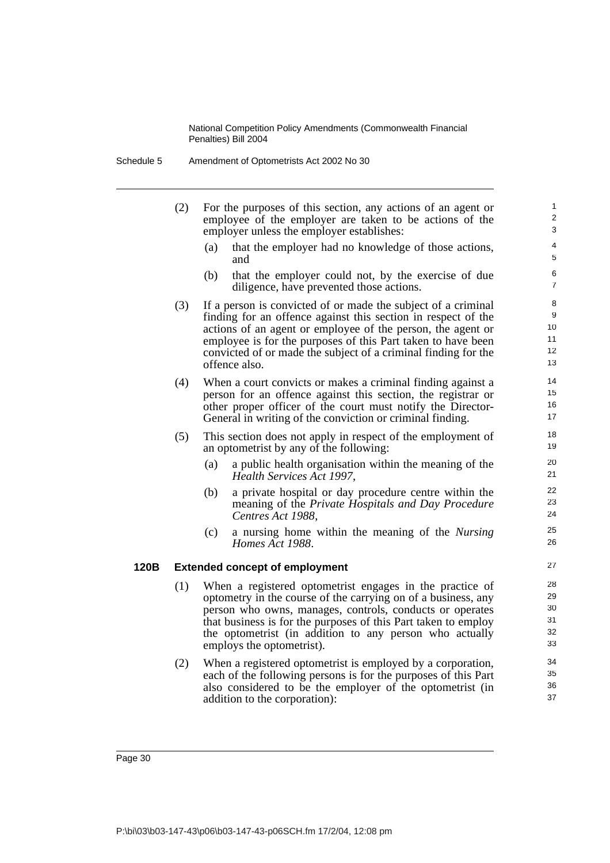- (2) For the purposes of this section, any actions of an agent or employee of the employer are taken to be actions of the employer unless the employer establishes:
	- (a) that the employer had no knowledge of those actions, and

- (b) that the employer could not, by the exercise of due diligence, have prevented those actions.
- (3) If a person is convicted of or made the subject of a criminal finding for an offence against this section in respect of the actions of an agent or employee of the person, the agent or employee is for the purposes of this Part taken to have been convicted of or made the subject of a criminal finding for the offence also.
- (4) When a court convicts or makes a criminal finding against a person for an offence against this section, the registrar or other proper officer of the court must notify the Director-General in writing of the conviction or criminal finding.
- (5) This section does not apply in respect of the employment of an optometrist by any of the following:
	- (a) a public health organisation within the meaning of the *Health Services Act 1997*,
	- (b) a private hospital or day procedure centre within the meaning of the *Private Hospitals and Day Procedure Centres Act 1988*,
	- (c) a nursing home within the meaning of the *Nursing Homes Act 1988*.

#### **120B Extended concept of employment**

- (1) When a registered optometrist engages in the practice of optometry in the course of the carrying on of a business, any person who owns, manages, controls, conducts or operates that business is for the purposes of this Part taken to employ the optometrist (in addition to any person who actually employs the optometrist).
- (2) When a registered optometrist is employed by a corporation, each of the following persons is for the purposes of this Part also considered to be the employer of the optometrist (in addition to the corporation):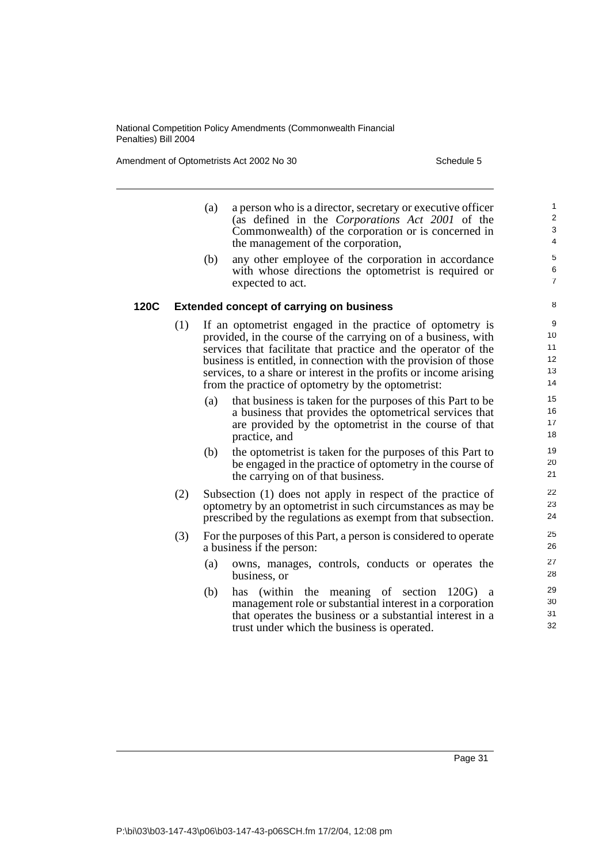Amendment of Optometrists Act 2002 No 30 Schedule 5

- (a) a person who is a director, secretary or executive officer (as defined in the *Corporations Act 2001* of the Commonwealth) of the corporation or is concerned in the management of the corporation,
- (b) any other employee of the corporation in accordance with whose directions the optometrist is required or expected to act.

#### **120C Extended concept of carrying on business**

- (1) If an optometrist engaged in the practice of optometry is provided, in the course of the carrying on of a business, with services that facilitate that practice and the operator of the business is entitled, in connection with the provision of those services, to a share or interest in the profits or income arising from the practice of optometry by the optometrist:
	- (a) that business is taken for the purposes of this Part to be a business that provides the optometrical services that are provided by the optometrist in the course of that practice, and
	- (b) the optometrist is taken for the purposes of this Part to be engaged in the practice of optometry in the course of the carrying on of that business.
- (2) Subsection (1) does not apply in respect of the practice of optometry by an optometrist in such circumstances as may be prescribed by the regulations as exempt from that subsection.
- (3) For the purposes of this Part, a person is considered to operate a business if the person:
	- (a) owns, manages, controls, conducts or operates the business, or
	- (b) has (within the meaning of section 120G) a management role or substantial interest in a corporation that operates the business or a substantial interest in a trust under which the business is operated.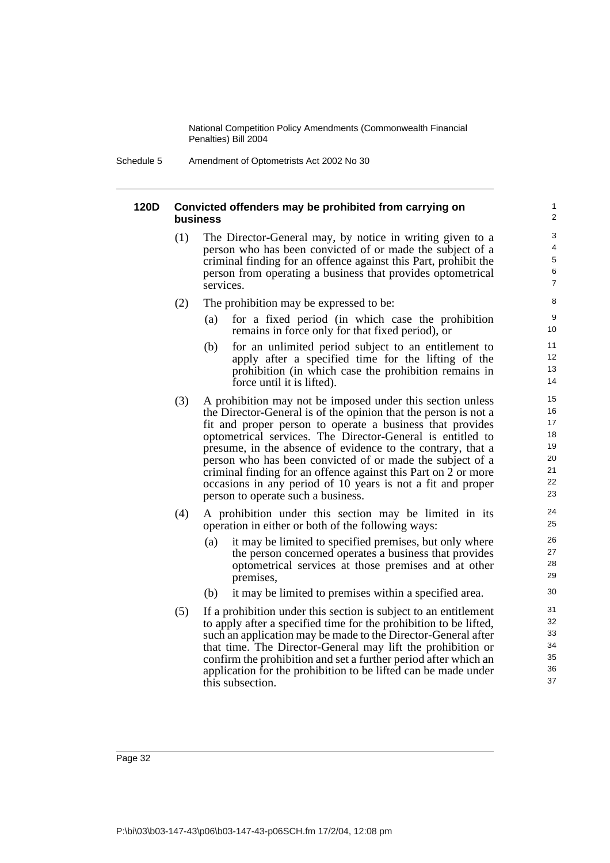Schedule 5 Amendment of Optometrists Act 2002 No 30

#### **120D Convicted offenders may be prohibited from carrying on business**

- (1) The Director-General may, by notice in writing given to a person who has been convicted of or made the subject of a criminal finding for an offence against this Part, prohibit the person from operating a business that provides optometrical services.
- (2) The prohibition may be expressed to be:
	- (a) for a fixed period (in which case the prohibition remains in force only for that fixed period), or

- (b) for an unlimited period subject to an entitlement to apply after a specified time for the lifting of the prohibition (in which case the prohibition remains in force until it is lifted).
- (3) A prohibition may not be imposed under this section unless the Director-General is of the opinion that the person is not a fit and proper person to operate a business that provides optometrical services. The Director-General is entitled to presume, in the absence of evidence to the contrary, that a person who has been convicted of or made the subject of a criminal finding for an offence against this Part on 2 or more occasions in any period of 10 years is not a fit and proper person to operate such a business.
- (4) A prohibition under this section may be limited in its operation in either or both of the following ways:
	- (a) it may be limited to specified premises, but only where the person concerned operates a business that provides optometrical services at those premises and at other premises,
	- (b) it may be limited to premises within a specified area.
- (5) If a prohibition under this section is subject to an entitlement to apply after a specified time for the prohibition to be lifted, such an application may be made to the Director-General after that time. The Director-General may lift the prohibition or confirm the prohibition and set a further period after which an application for the prohibition to be lifted can be made under this subsection.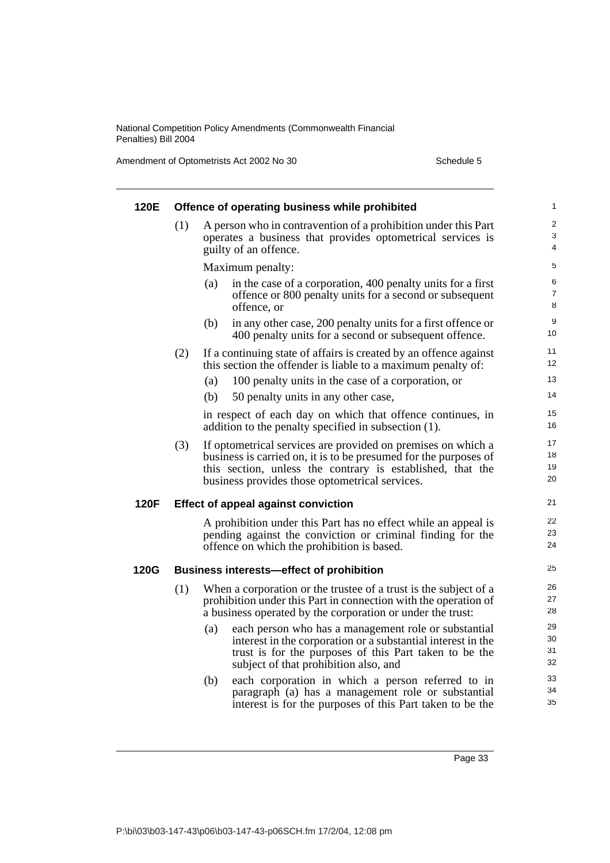Amendment of Optometrists Act 2002 No 30 Schedule 5

| 120E        |     | Offence of operating business while prohibited                                                                                                                                                                                                   | 1                        |
|-------------|-----|--------------------------------------------------------------------------------------------------------------------------------------------------------------------------------------------------------------------------------------------------|--------------------------|
|             | (1) | A person who in contravention of a prohibition under this Part<br>operates a business that provides optometrical services is<br>guilty of an offence.                                                                                            | $\overline{2}$<br>3<br>4 |
|             |     | Maximum penalty:                                                                                                                                                                                                                                 | 5                        |
|             |     | in the case of a corporation, 400 penalty units for a first<br>(a)<br>offence or 800 penalty units for a second or subsequent<br>offence, or                                                                                                     | 6<br>7<br>8              |
|             |     | (b)<br>in any other case, 200 penalty units for a first offence or<br>400 penalty units for a second or subsequent offence.                                                                                                                      | 9<br>10                  |
|             | (2) | If a continuing state of affairs is created by an offence against<br>this section the offender is liable to a maximum penalty of:                                                                                                                | 11<br>12                 |
|             |     | 100 penalty units in the case of a corporation, or<br>(a)                                                                                                                                                                                        | 13                       |
|             |     | (b)<br>50 penalty units in any other case,                                                                                                                                                                                                       | 14                       |
|             |     | in respect of each day on which that offence continues, in<br>addition to the penalty specified in subsection (1).                                                                                                                               | 15<br>16                 |
|             | (3) | If optometrical services are provided on premises on which a<br>business is carried on, it is to be presumed for the purposes of<br>this section, unless the contrary is established, that the<br>business provides those optometrical services. | 17<br>18<br>19<br>20     |
| 120F        |     | <b>Effect of appeal against conviction</b>                                                                                                                                                                                                       | 21                       |
|             |     | A prohibition under this Part has no effect while an appeal is<br>pending against the conviction or criminal finding for the<br>offence on which the prohibition is based.                                                                       | 22<br>23<br>24           |
| <b>120G</b> |     | <b>Business interests-effect of prohibition</b>                                                                                                                                                                                                  | 25                       |
|             | (1) | When a corporation or the trustee of a trust is the subject of a<br>prohibition under this Part in connection with the operation of<br>a business operated by the corporation or under the trust:                                                | 26<br>27<br>28           |
|             |     | (a)<br>each person who has a management role or substantial<br>interest in the corporation or a substantial interest in the<br>trust is for the purposes of this Part taken to be the<br>subject of that prohibition also, and                   | 29<br>30<br>31<br>32     |
|             |     | each corporation in which a person referred to in<br>(b)<br>paragraph (a) has a management role or substantial<br>interest is for the purposes of this Part taken to be the                                                                      | 33<br>34<br>35           |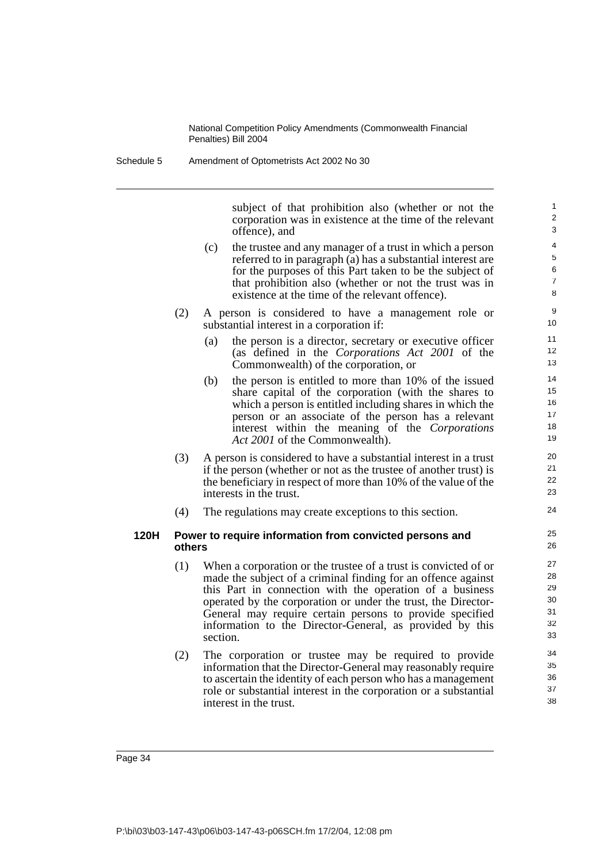subject of that prohibition also (whether or not the corporation was in existence at the time of the relevant offence), and

- (c) the trustee and any manager of a trust in which a person referred to in paragraph (a) has a substantial interest are for the purposes of this Part taken to be the subject of that prohibition also (whether or not the trust was in existence at the time of the relevant offence).
- (2) A person is considered to have a management role or substantial interest in a corporation if:
	- (a) the person is a director, secretary or executive officer (as defined in the *Corporations Act 2001* of the Commonwealth) of the corporation, or
	- (b) the person is entitled to more than 10% of the issued share capital of the corporation (with the shares to which a person is entitled including shares in which the person or an associate of the person has a relevant interest within the meaning of the *Corporations Act 2001* of the Commonwealth).
- (3) A person is considered to have a substantial interest in a trust if the person (whether or not as the trustee of another trust) is the beneficiary in respect of more than 10% of the value of the interests in the trust.
- (4) The regulations may create exceptions to this section.

#### **120H Power to require information from convicted persons and others**

- (1) When a corporation or the trustee of a trust is convicted of or made the subject of a criminal finding for an offence against this Part in connection with the operation of a business operated by the corporation or under the trust, the Director-General may require certain persons to provide specified information to the Director-General, as provided by this section.
- (2) The corporation or trustee may be required to provide information that the Director-General may reasonably require to ascertain the identity of each person who has a management role or substantial interest in the corporation or a substantial interest in the trust.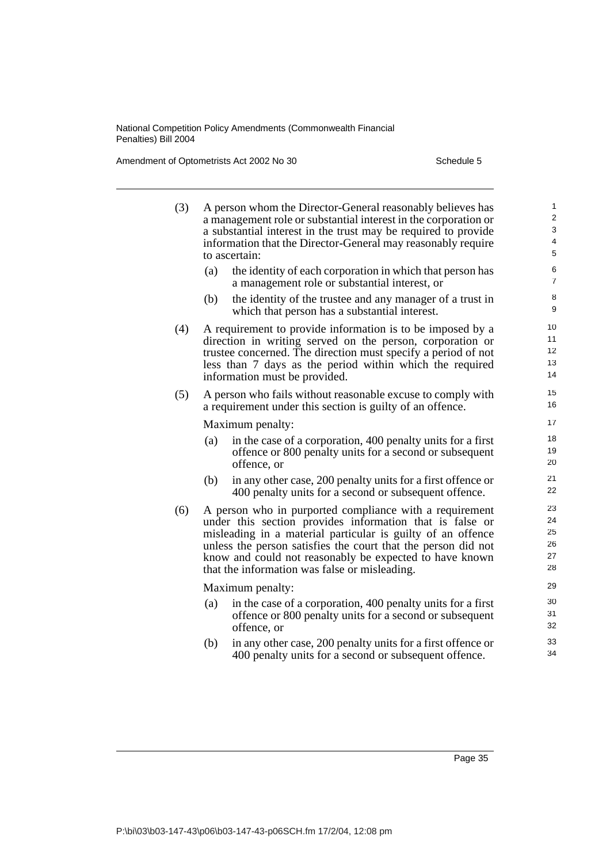Amendment of Optometrists Act 2002 No 30 Schedule 5

| (3) |     | A person whom the Director-General reasonably believes has<br>a management role or substantial interest in the corporation or<br>a substantial interest in the trust may be required to provide<br>information that the Director-General may reasonably require<br>to ascertain:                                                                                | 1<br>$\overline{\mathbf{c}}$<br>3<br>$\overline{\mathcal{L}}$<br>5 |
|-----|-----|-----------------------------------------------------------------------------------------------------------------------------------------------------------------------------------------------------------------------------------------------------------------------------------------------------------------------------------------------------------------|--------------------------------------------------------------------|
|     | (a) | the identity of each corporation in which that person has<br>a management role or substantial interest, or                                                                                                                                                                                                                                                      | 6<br>$\overline{7}$                                                |
|     | (b) | the identity of the trustee and any manager of a trust in<br>which that person has a substantial interest.                                                                                                                                                                                                                                                      | 8<br>9                                                             |
| (4) |     | A requirement to provide information is to be imposed by a<br>direction in writing served on the person, corporation or<br>trustee concerned. The direction must specify a period of not<br>less than 7 days as the period within which the required<br>information must be provided.                                                                           | 10<br>11<br>12<br>13<br>14                                         |
| (5) |     | A person who fails without reasonable excuse to comply with<br>a requirement under this section is guilty of an offence.                                                                                                                                                                                                                                        | 15<br>16                                                           |
|     |     | Maximum penalty:                                                                                                                                                                                                                                                                                                                                                | 17                                                                 |
|     | (a) | in the case of a corporation, 400 penalty units for a first<br>offence or 800 penalty units for a second or subsequent<br>offence, or                                                                                                                                                                                                                           | 18<br>19<br>20                                                     |
|     | (b) | in any other case, 200 penalty units for a first offence or<br>400 penalty units for a second or subsequent offence.                                                                                                                                                                                                                                            | 21<br>22                                                           |
| (6) |     | A person who in purported compliance with a requirement<br>under this section provides information that is false or<br>misleading in a material particular is guilty of an offence<br>unless the person satisfies the court that the person did not<br>know and could not reasonably be expected to have known<br>that the information was false or misleading. | 23<br>24<br>25<br>26<br>27<br>28                                   |
|     |     | Maximum penalty:                                                                                                                                                                                                                                                                                                                                                | 29                                                                 |
|     | (a) | in the case of a corporation, 400 penalty units for a first<br>offence or 800 penalty units for a second or subsequent<br>offence, or                                                                                                                                                                                                                           | 30<br>31<br>32                                                     |
|     | (b) | in any other case, 200 penalty units for a first offence or<br>400 penalty units for a second or subsequent offence.                                                                                                                                                                                                                                            | 33<br>34                                                           |
|     |     |                                                                                                                                                                                                                                                                                                                                                                 |                                                                    |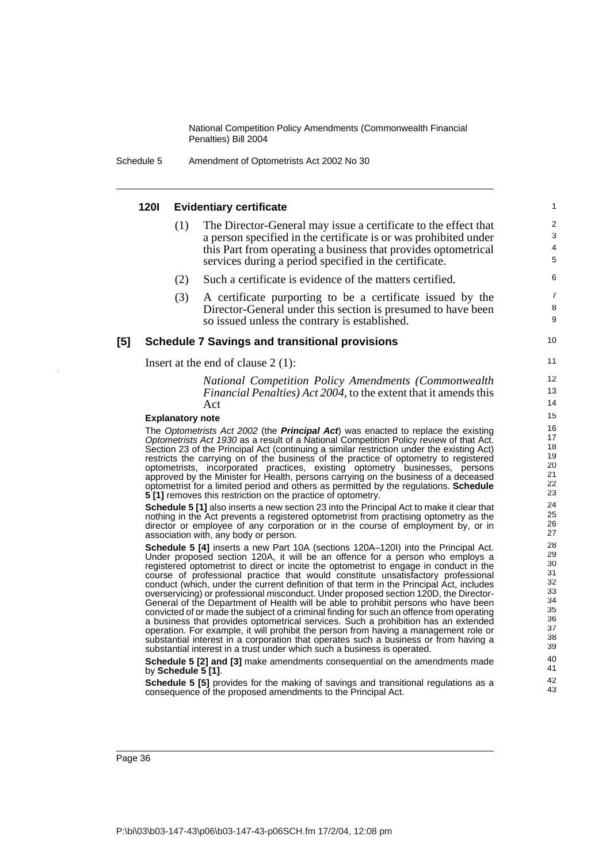Schedule 5 Amendment of Optometrists Act 2002 No 30

#### **120I Evidentiary certificate** (1) The Director-General may issue a certificate to the effect that a person specified in the certificate is or was prohibited under this Part from operating a business that provides optometrical services during a period specified in the certificate. (2) Such a certificate is evidence of the matters certified. (3) A certificate purporting to be a certificate issued by the Director-General under this section is presumed to have been so issued unless the contrary is established. **[5] Schedule 7 Savings and transitional provisions** Insert at the end of clause 2 (1): *National Competition Policy Amendments (Commonwealth Financial Penalties) Act 2004*, to the extent that it amends this Act **Explanatory note** The Optometrists Act 2002 (the **Principal Act**) was enacted to replace the existing Optometrists Act 1930 as a result of a National Competition Policy review of that Act. Section 23 of the Principal Act (continuing a similar restriction under the existing Act) restricts the carrying on of the business of the practice of optometry to registered optometrists, incorporated practices, existing optometry businesses, persons approved by the Minister for Health, persons carrying on the business of a deceased optometrist for a limited period and others as permitted by the regulations. **Schedule 5 [1]** removes this restriction on the practice of optometry. **Schedule 5 [1]** also inserts a new section 23 into the Principal Act to make it clear that nothing in the Act prevents a registered optometrist from practising optometry as the director or employee of any corporation or in the course of employment by, or in association with, any body or person. **Schedule 5 [4]** inserts a new Part 10A (sections 120A–120I) into the Principal Act. Under proposed section 120A, it will be an offence for a person who employs a registered optometrist to direct or incite the optometrist to engage in conduct in the course of professional practice that would constitute unsatisfactory professional conduct (which, under the current definition of that term in the Principal Act, includes overservicing) or professional misconduct. Under proposed section 120D, the Director-General of the Department of Health will be able to prohibit persons who have been convicted of or made the subject of a criminal finding for such an offence from operating a business that provides optometrical services. Such a prohibition has an extended operation. For example, it will prohibit the person from having a management role or substantial interest in a corporation that operates such a business or from having a substantial interest in a trust under which such a business is operated. **Schedule 5 [2] and [3]** make amendments consequential on the amendments made by **Schedule 5 [1]**. **Schedule 5 [5]** provides for the making of savings and transitional regulations as a 1  $\overline{2}$ 3 4 5 6 7 8 9 10 11 12 13 14 15 16 17 18 19 20 21 22 23 24 25 26 27 28 29 30 31 32 33 34 35 36 37 38 39 40 41 42 43

P:\bi\03\b03-147-43\p06\b03-147-43-p06SCH.fm 17/2/04, 12:08 pm

consequence of the proposed amendments to the Principal Act.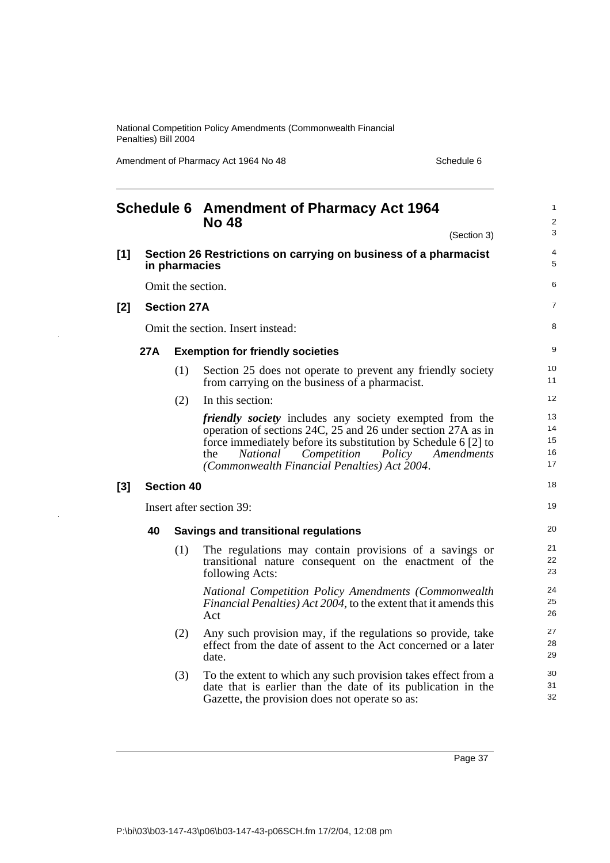Amendment of Pharmacy Act 1964 No 48 Schedule 6

|       |     |                    | <b>Schedule 6 Amendment of Pharmacy Act 1964</b><br><b>No 48</b>                                                                                                                                                                                                                                           | 1<br>$\overline{\mathbf{c}}$ |
|-------|-----|--------------------|------------------------------------------------------------------------------------------------------------------------------------------------------------------------------------------------------------------------------------------------------------------------------------------------------------|------------------------------|
|       |     |                    | (Section 3)                                                                                                                                                                                                                                                                                                | 3                            |
| $[1]$ |     | in pharmacies      | Section 26 Restrictions on carrying on business of a pharmacist                                                                                                                                                                                                                                            | 4<br>5                       |
|       |     |                    | Omit the section.                                                                                                                                                                                                                                                                                          | 6                            |
| [2]   |     | <b>Section 27A</b> |                                                                                                                                                                                                                                                                                                            | 7                            |
|       |     |                    | Omit the section. Insert instead:                                                                                                                                                                                                                                                                          | 8                            |
|       | 27A |                    | <b>Exemption for friendly societies</b>                                                                                                                                                                                                                                                                    | 9                            |
|       |     | (1)                | Section 25 does not operate to prevent any friendly society<br>from carrying on the business of a pharmacist.                                                                                                                                                                                              | 10<br>11                     |
|       |     | (2)                | In this section:                                                                                                                                                                                                                                                                                           | 12                           |
|       |     |                    | <i>friendly society</i> includes any society exempted from the<br>operation of sections 24C, 25 and 26 under section 27A as in<br>force immediately before its substitution by Schedule 6 [2] to<br>National<br>Competition<br>the<br>Policy<br>Amendments<br>(Commonwealth Financial Penalties) Act 2004. | 13<br>14<br>15<br>16<br>17   |
| [3]   |     | <b>Section 40</b>  |                                                                                                                                                                                                                                                                                                            | 18                           |
|       |     |                    | Insert after section 39:                                                                                                                                                                                                                                                                                   | 19                           |
|       | 40  |                    | <b>Savings and transitional regulations</b>                                                                                                                                                                                                                                                                | 20                           |
|       |     | (1)                | The regulations may contain provisions of a savings or<br>transitional nature consequent on the enactment of the<br>following Acts:                                                                                                                                                                        | 21<br>22<br>23               |
|       |     |                    | National Competition Policy Amendments (Commonwealth<br>Financial Penalties) Act 2004, to the extent that it amends this<br>Act                                                                                                                                                                            | 24<br>25<br>26               |
|       |     | (2)                | Any such provision may, if the regulations so provide, take<br>effect from the date of assent to the Act concerned or a later<br>date.                                                                                                                                                                     | 27<br>28<br>29               |
|       |     | (3)                | To the extent to which any such provision takes effect from a<br>date that is earlier than the date of its publication in the<br>Gazette, the provision does not operate so as:                                                                                                                            | 30<br>31<br>32               |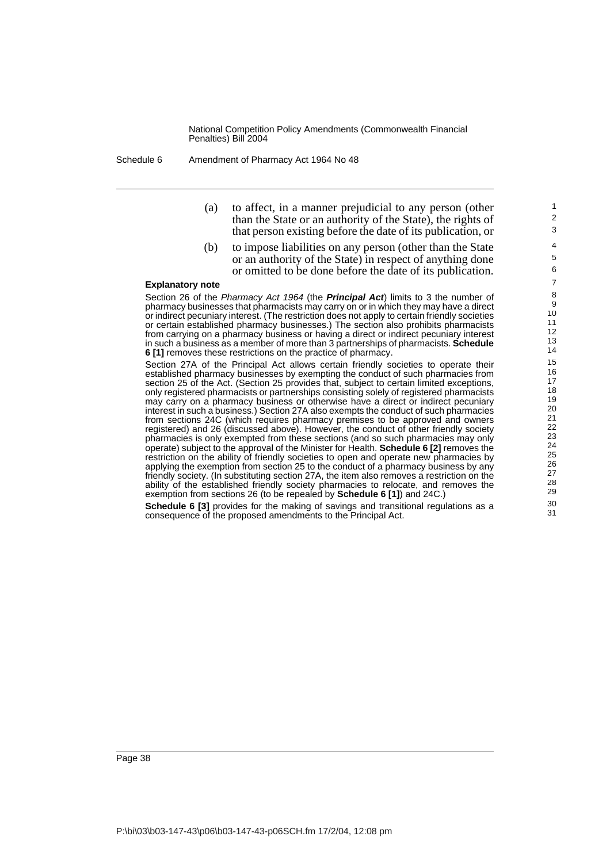Schedule 6 Amendment of Pharmacy Act 1964 No 48

(a) to affect, in a manner prejudicial to any person (other than the State or an authority of the State), the rights of that person existing before the date of its publication, or

(b) to impose liabilities on any person (other than the State or an authority of the State) in respect of anything done or omitted to be done before the date of its publication.

#### **Explanatory note**

Section 26 of the Pharmacy Act 1964 (the **Principal Act**) limits to 3 the number of pharmacy businesses that pharmacists may carry on or in which they may have a direct or indirect pecuniary interest. (The restriction does not apply to certain friendly societies or certain established pharmacy businesses.) The section also prohibits pharmacists from carrying on a pharmacy business or having a direct or indirect pecuniary interest in such a business as a member of more than 3 partnerships of pharmacists. **Schedule 6 [1]** removes these restrictions on the practice of pharmacy.

Section 27A of the Principal Act allows certain friendly societies to operate their established pharmacy businesses by exempting the conduct of such pharmacies from section 25 of the Act. (Section 25 provides that, subject to certain limited exceptions, only registered pharmacists or partnerships consisting solely of registered pharmacists may carry on a pharmacy business or otherwise have a direct or indirect pecuniary interest in such a business.) Section 27A also exempts the conduct of such pharmacies from sections 24C (which requires pharmacy premises to be approved and owners registered) and 26 (discussed above). However, the conduct of other friendly society pharmacies is only exempted from these sections (and so such pharmacies may only operate) subject to the approval of the Minister for Health. **Schedule 6 [2]** removes the restriction on the ability of friendly societies to open and operate new pharmacies by applying the exemption from section 25 to the conduct of a pharmacy business by any friendly society. (In substituting section 27A, the item also removes a restriction on the ability of the established friendly society pharmacies to relocate, and removes the exemption from sections 26 (to be repealed by **Schedule 6 [1]**) and 24C.)

**Schedule 6 [3]** provides for the making of savings and transitional regulations as a consequence of the proposed amendments to the Principal Act.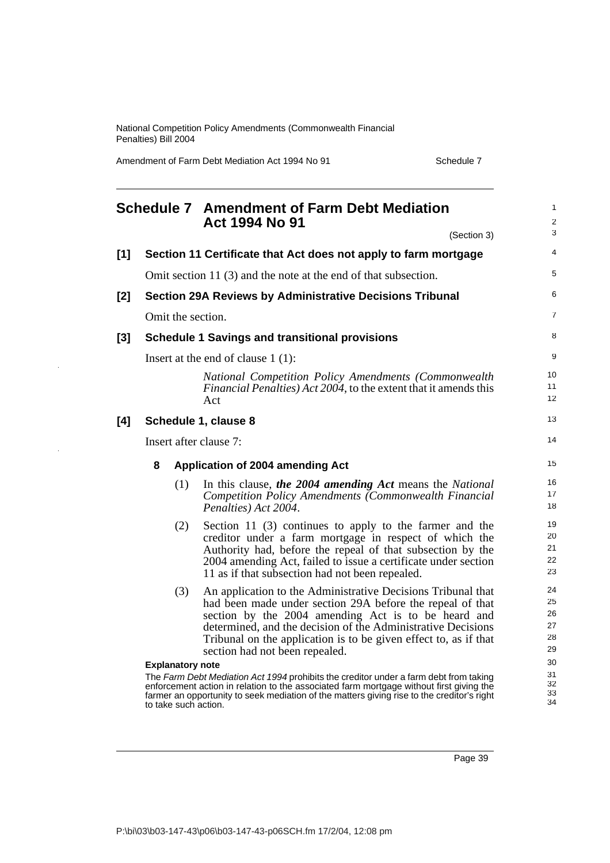Amendment of Farm Debt Mediation Act 1994 No 91 Schedule 7

|     |                         | <b>Schedule 7 Amendment of Farm Debt Mediation</b><br>Act 1994 No 91                                                                                                                                                                                                                                                                                   | 1<br>$\overline{2}$              |  |  |
|-----|-------------------------|--------------------------------------------------------------------------------------------------------------------------------------------------------------------------------------------------------------------------------------------------------------------------------------------------------------------------------------------------------|----------------------------------|--|--|
|     |                         | (Section 3)                                                                                                                                                                                                                                                                                                                                            | 3                                |  |  |
| [1] |                         | Section 11 Certificate that Act does not apply to farm mortgage                                                                                                                                                                                                                                                                                        | 4                                |  |  |
|     |                         | Omit section 11 (3) and the note at the end of that subsection.                                                                                                                                                                                                                                                                                        | 5                                |  |  |
| [2] |                         | <b>Section 29A Reviews by Administrative Decisions Tribunal</b>                                                                                                                                                                                                                                                                                        | 6                                |  |  |
|     | Omit the section.       |                                                                                                                                                                                                                                                                                                                                                        | $\overline{7}$                   |  |  |
| [3] |                         | <b>Schedule 1 Savings and transitional provisions</b>                                                                                                                                                                                                                                                                                                  | 8                                |  |  |
|     |                         | Insert at the end of clause $1(1)$ :                                                                                                                                                                                                                                                                                                                   | 9                                |  |  |
|     |                         | National Competition Policy Amendments (Commonwealth<br><i>Financial Penalties) Act 2004, to the extent that it amends this</i><br>Act                                                                                                                                                                                                                 | 10<br>11<br>12                   |  |  |
| [4] |                         | Schedule 1, clause 8                                                                                                                                                                                                                                                                                                                                   | 13                               |  |  |
|     | Insert after clause 7:  |                                                                                                                                                                                                                                                                                                                                                        |                                  |  |  |
|     | 8                       | Application of 2004 amending Act                                                                                                                                                                                                                                                                                                                       | 15                               |  |  |
|     | (1)                     | In this clause, the 2004 amending Act means the National<br>Competition Policy Amendments (Commonwealth Financial<br>Penalties) Act 2004.                                                                                                                                                                                                              | 16<br>17<br>18                   |  |  |
|     | (2)                     | Section 11 (3) continues to apply to the farmer and the<br>creditor under a farm mortgage in respect of which the<br>Authority had, before the repeal of that subsection by the<br>2004 amending Act, failed to issue a certificate under section<br>11 as if that subsection had not been repealed.                                                   | 19<br>20<br>21<br>22<br>23       |  |  |
|     | (3)                     | An application to the Administrative Decisions Tribunal that<br>had been made under section 29A before the repeal of that<br>section by the 2004 amending Act is to be heard and<br>determined, and the decision of the Administrative Decisions<br>Tribunal on the application is to be given effect to, as if that<br>section had not been repealed. | 24<br>25<br>26<br>27<br>28<br>29 |  |  |
|     | <b>Explanatory note</b> |                                                                                                                                                                                                                                                                                                                                                        | 30                               |  |  |
|     | to take such action.    | The Farm Debt Mediation Act 1994 prohibits the creditor under a farm debt from taking<br>enforcement action in relation to the associated farm mortgage without first giving the<br>farmer an opportunity to seek mediation of the matters giving rise to the creditor's right                                                                         | 31<br>32<br>33<br>34             |  |  |